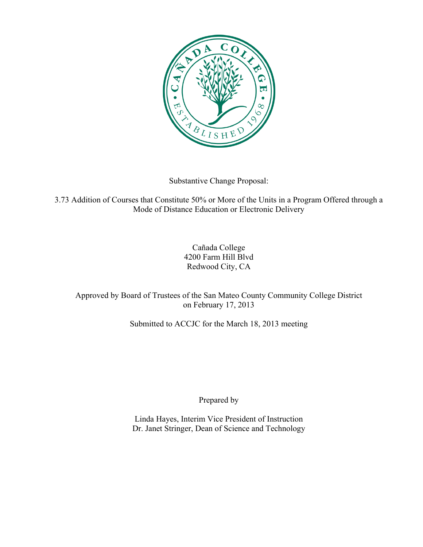

Substantive Change Proposal:

3.73 Addition of Courses that Constitute 50% or More of the Units in a Program Offered through a Mode of Distance Education or Electronic Delivery

> Cañada College 4200 Farm Hill Blvd Redwood City, CA

Approved by Board of Trustees of the San Mateo County Community College District on February 17, 2013

Submitted to ACCJC for the March 18, 2013 meeting

Prepared by

Linda Hayes, Interim Vice President of Instruction Dr. Janet Stringer, Dean of Science and Technology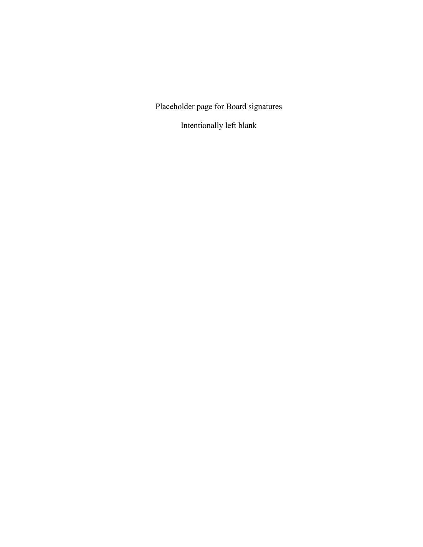Placeholder page for Board signatures

Intentionally left blank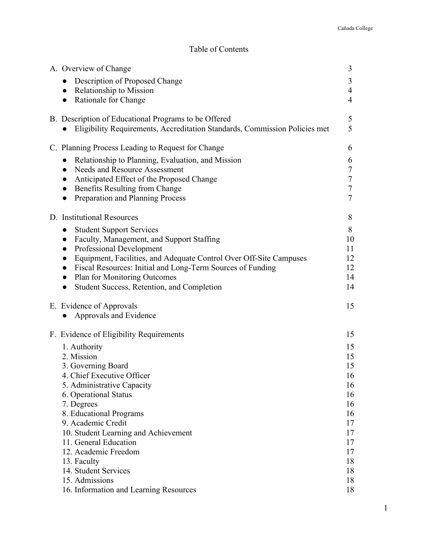# Table of Contents

| A. Overview of Change                                                                                                              | 3                   |
|------------------------------------------------------------------------------------------------------------------------------------|---------------------|
| Description of Proposed Change<br>Relationship to Mission<br>$\bullet$                                                             | 3<br>$\overline{4}$ |
| Rationale for Change<br>$\bullet$                                                                                                  | $\overline{4}$      |
| B. Description of Educational Programs to be Offered<br>Eligibility Requirements, Accreditation Standards, Commission Policies met | 5<br>5              |
| C. Planning Process Leading to Request for Change                                                                                  | 6                   |
| Relationship to Planning, Evaluation, and Mission                                                                                  | 6                   |
| Needs and Resource Assessment<br>$\bullet$<br>Anticipated Effect of the Proposed Change<br>$\bullet$                               | $\tau$<br>$\tau$    |
| Benefits Resulting from Change<br>$\bullet$                                                                                        | $\tau$              |
| Preparation and Planning Process<br>$\bullet$                                                                                      | $\overline{7}$      |
| D. Institutional Resources                                                                                                         | 8                   |
| <b>Student Support Services</b><br>$\bullet$                                                                                       | 8                   |
| Faculty, Management, and Support Staffing<br>$\bullet$                                                                             | 10                  |
| Professional Development<br>$\bullet$                                                                                              | 11                  |
| Equipment, Facilities, and Adequate Control Over Off-Site Campuses<br>Fiscal Resources: Initial and Long-Term Sources of Funding   | 12<br>12            |
| <b>Plan for Monitoring Outcomes</b><br>$\bullet$                                                                                   | 14                  |
| Student Success, Retention, and Completion<br>$\bullet$                                                                            | 14                  |
| E. Evidence of Approvals<br>Approvals and Evidence                                                                                 | 15                  |
|                                                                                                                                    |                     |
| F. Evidence of Eligibility Requirements                                                                                            | 15                  |
| 1. Authority                                                                                                                       | 15                  |
| 2. Mission<br>3. Governing Board                                                                                                   | 15<br>15            |
| 4. Chief Executive Officer                                                                                                         | 16                  |
| 5. Administrative Capacity                                                                                                         | 16                  |
| 6. Operational Status                                                                                                              | 16                  |
| 7. Degrees                                                                                                                         | 16                  |
| 8. Educational Programs<br>9. Academic Credit                                                                                      | 16                  |
| 10. Student Learning and Achievement                                                                                               | 17<br>17            |
| 11. General Education                                                                                                              | 17                  |
| 12. Academic Freedom                                                                                                               | 17                  |
| 13. Faculty                                                                                                                        | 18                  |
| 14. Student Services                                                                                                               | 18                  |
| 15. Admissions                                                                                                                     | 18                  |
| 16. Information and Learning Resources                                                                                             | 18                  |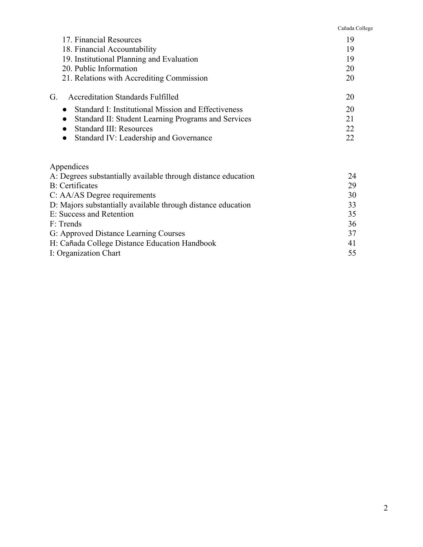Cañada College

| 17. Financial Resources                                          | 19 |
|------------------------------------------------------------------|----|
| 18. Financial Accountability                                     | 19 |
| 19. Institutional Planning and Evaluation                        | 19 |
| 20. Public Information                                           | 20 |
| 21. Relations with Accrediting Commission                        | 20 |
| <b>Accreditation Standards Fulfilled</b><br>G                    | 20 |
| Standard I: Institutional Mission and Effectiveness<br>$\bullet$ | 20 |
| Standard II: Student Learning Programs and Services              | 21 |
| <b>Standard III: Resources</b>                                   | 22 |
| Standard IV: Leadership and Governance<br>$\bullet$              | 22 |
|                                                                  |    |
| Appendices                                                       |    |

| 24 |
|----|
| 29 |
| 30 |
| 33 |
| 35 |
| 36 |
| 37 |
| 41 |
| 55 |
|    |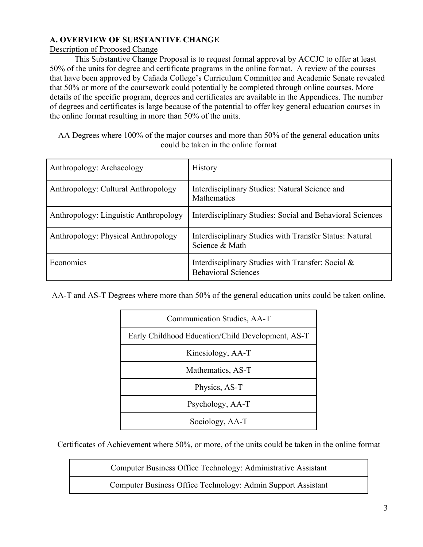# **A. OVERVIEW OF SUBSTANTIVE CHANGE**

# Description of Proposed Change

This Substantive Change Proposal is to request formal approval by ACCJC to offer at least 50% of the units for degree and certificate programs in the online format. A review of the courses that have been approved by Cañada College's Curriculum Committee and Academic Senate revealed that 50% or more of the coursework could potentially be completed through online courses. More details of the specific program, degrees and certificates are available in the Appendices. The number of degrees and certificates is large because of the potential to offer key general education courses in the online format resulting in more than 50% of the units.

AA Degrees where 100% of the major courses and more than 50% of the general education units could be taken in the online format

| Anthropology: Archaeology             | <b>History</b>                                                                     |
|---------------------------------------|------------------------------------------------------------------------------------|
| Anthropology: Cultural Anthropology   | Interdisciplinary Studies: Natural Science and<br><b>Mathematics</b>               |
| Anthropology: Linguistic Anthropology | Interdisciplinary Studies: Social and Behavioral Sciences                          |
| Anthropology: Physical Anthropology   | Interdisciplinary Studies with Transfer Status: Natural<br>Science & Math          |
| Economics                             | Interdisciplinary Studies with Transfer: Social $\&$<br><b>Behavioral Sciences</b> |

AA-T and AS-T Degrees where more than 50% of the general education units could be taken online.

| Communication Studies, AA-T                       |
|---------------------------------------------------|
| Early Childhood Education/Child Development, AS-T |
| Kinesiology, AA-T                                 |
| Mathematics, AS-T                                 |
| Physics, AS-T                                     |
| Psychology, AA-T                                  |
| Sociology, AA-T                                   |

Certificates of Achievement where 50%, or more, of the units could be taken in the online format

Computer Business Office Technology: Administrative Assistant

Computer Business Office Technology: Admin Support Assistant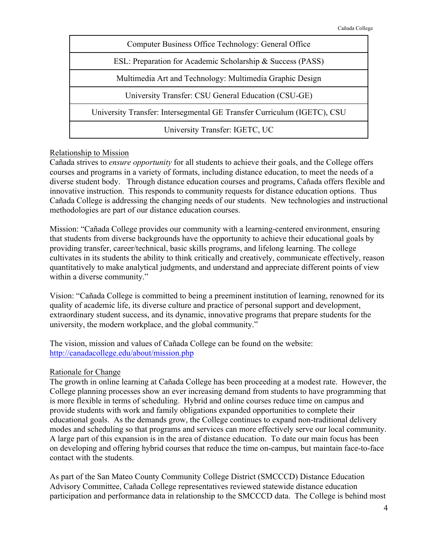

# Relationship to Mission

Cañada strives to *ensure opportunity* for all students to achieve their goals, and the College offers courses and programs in a variety of formats, including distance education, to meet the needs of a diverse student body. Through distance education courses and programs, Cañada offers flexible and innovative instruction. This responds to community requests for distance education options. Thus Cañada College is addressing the changing needs of our students. New technologies and instructional methodologies are part of our distance education courses.

Mission: "Cañada College provides our community with a learning-centered environment, ensuring that students from diverse backgrounds have the opportunity to achieve their educational goals by providing transfer, career/technical, basic skills programs, and lifelong learning. The college cultivates in its students the ability to think critically and creatively, communicate effectively, reason quantitatively to make analytical judgments, and understand and appreciate different points of view within a diverse community."

Vision: "Cañada College is committed to being a preeminent institution of learning, renowned for its quality of academic life, its diverse culture and practice of personal support and development, extraordinary student success, and its dynamic, innovative programs that prepare students for the university, the modern workplace, and the global community."

The vision, mission and values of Cañada College can be found on the website: http://canadacollege.edu/about/mission.php

# Rationale for Change

The growth in online learning at Cañada College has been proceeding at a modest rate. However, the College planning processes show an ever increasing demand from students to have programming that is more flexible in terms of scheduling. Hybrid and online courses reduce time on campus and provide students with work and family obligations expanded opportunities to complete their educational goals. As the demands grow, the College continues to expand non-traditional delivery modes and scheduling so that programs and services can more effectively serve our local community. A large part of this expansion is in the area of distance education. To date our main focus has been on developing and offering hybrid courses that reduce the time on-campus, but maintain face-to-face contact with the students.

As part of the San Mateo County Community College District (SMCCCD) Distance Education Advisory Committee, Cañada College representatives reviewed statewide distance education participation and performance data in relationship to the SMCCCD data. The College is behind most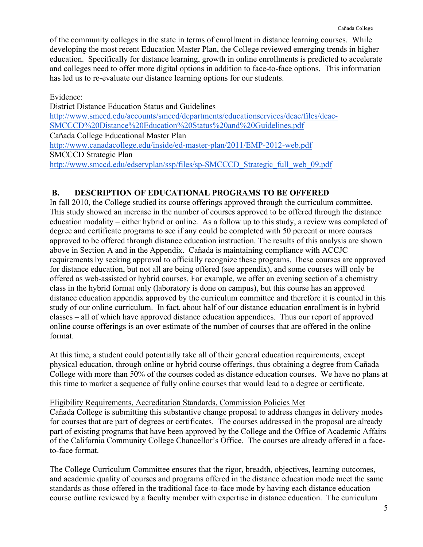of the community colleges in the state in terms of enrollment in distance learning courses. While developing the most recent Education Master Plan, the College reviewed emerging trends in higher education. Specifically for distance learning, growth in online enrollments is predicted to accelerate and colleges need to offer more digital options in addition to face-to-face options. This information has led us to re-evaluate our distance learning options for our students.

Evidence: District Distance Education Status and Guidelines http://www.smccd.edu/accounts/smccd/departments/educationservices/deac/files/deac-SMCCCD%20Distance%20Education%20Status%20and%20Guidelines.pdf Cañada College Educational Master Plan http://www.canadacollege.edu/inside/ed-master-plan/2011/EMP-2012-web.pdf SMCCCD Strategic Plan http://www.smccd.edu/edservplan/ssp/files/sp-SMCCCD\_Strategic\_full\_web\_09.pdf

# **B. DESCRIPTION OF EDUCATIONAL PROGRAMS TO BE OFFERED**

In fall 2010, the College studied its course offerings approved through the curriculum committee. This study showed an increase in the number of courses approved to be offered through the distance education modality – either hybrid or online. As a follow up to this study, a review was completed of degree and certificate programs to see if any could be completed with 50 percent or more courses approved to be offered through distance education instruction. The results of this analysis are shown above in Section A and in the Appendix. Cañada is maintaining compliance with ACCJC requirements by seeking approval to officially recognize these programs. These courses are approved for distance education, but not all are being offered (see appendix), and some courses will only be offered as web-assisted or hybrid courses. For example, we offer an evening section of a chemistry class in the hybrid format only (laboratory is done on campus), but this course has an approved distance education appendix approved by the curriculum committee and therefore it is counted in this study of our online curriculum. In fact, about half of our distance education enrollment is in hybrid classes – all of which have approved distance education appendices. Thus our report of approved online course offerings is an over estimate of the number of courses that are offered in the online format.

At this time, a student could potentially take all of their general education requirements, except physical education, through online or hybrid course offerings, thus obtaining a degree from Cañada College with more than 50% of the courses coded as distance education courses. We have no plans at this time to market a sequence of fully online courses that would lead to a degree or certificate.

# Eligibility Requirements, Accreditation Standards, Commission Policies Met

Cañada College is submitting this substantive change proposal to address changes in delivery modes for courses that are part of degrees or certificates. The courses addressed in the proposal are already part of existing programs that have been approved by the College and the Office of Academic Affairs of the California Community College Chancellor's Office. The courses are already offered in a faceto-face format.

The College Curriculum Committee ensures that the rigor, breadth, objectives, learning outcomes, and academic quality of courses and programs offered in the distance education mode meet the same standards as those offered in the traditional face-to-face mode by having each distance education course outline reviewed by a faculty member with expertise in distance education. The curriculum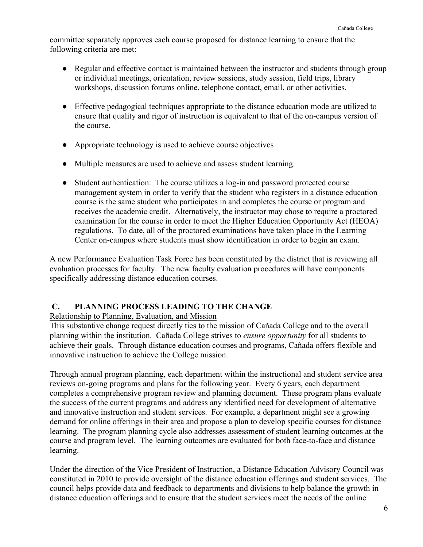committee separately approves each course proposed for distance learning to ensure that the following criteria are met:

- Regular and effective contact is maintained between the instructor and students through group or individual meetings, orientation, review sessions, study session, field trips, library workshops, discussion forums online, telephone contact, email, or other activities.
- Effective pedagogical techniques appropriate to the distance education mode are utilized to ensure that quality and rigor of instruction is equivalent to that of the on-campus version of the course.
- Appropriate technology is used to achieve course objectives
- Multiple measures are used to achieve and assess student learning.
- Student authentication: The course utilizes a log-in and password protected course management system in order to verify that the student who registers in a distance education course is the same student who participates in and completes the course or program and receives the academic credit. Alternatively, the instructor may chose to require a proctored examination for the course in order to meet the Higher Education Opportunity Act (HEOA) regulations. To date, all of the proctored examinations have taken place in the Learning Center on-campus where students must show identification in order to begin an exam.

A new Performance Evaluation Task Force has been constituted by the district that is reviewing all evaluation processes for faculty. The new faculty evaluation procedures will have components specifically addressing distance education courses.

# **C. PLANNING PROCESS LEADING TO THE CHANGE**

# Relationship to Planning, Evaluation, and Mission

This substantive change request directly ties to the mission of Cañada College and to the overall planning within the institution. Cañada College strives to *ensure opportunity* for all students to achieve their goals. Through distance education courses and programs, Cañada offers flexible and innovative instruction to achieve the College mission.

Through annual program planning, each department within the instructional and student service area reviews on-going programs and plans for the following year. Every 6 years, each department completes a comprehensive program review and planning document. These program plans evaluate the success of the current programs and address any identified need for development of alternative and innovative instruction and student services. For example, a department might see a growing demand for online offerings in their area and propose a plan to develop specific courses for distance learning. The program planning cycle also addresses assessment of student learning outcomes at the course and program level. The learning outcomes are evaluated for both face-to-face and distance learning.

Under the direction of the Vice President of Instruction, a Distance Education Advisory Council was constituted in 2010 to provide oversight of the distance education offerings and student services. The council helps provide data and feedback to departments and divisions to help balance the growth in distance education offerings and to ensure that the student services meet the needs of the online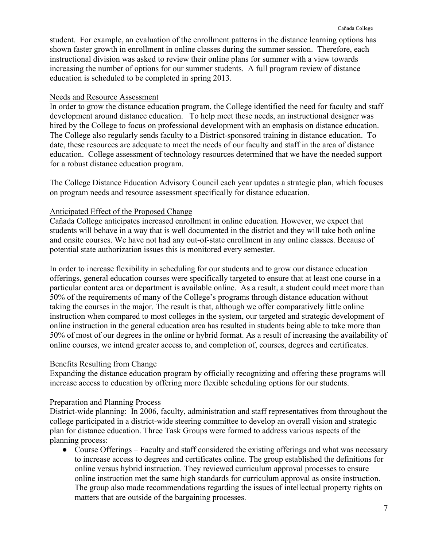student. For example, an evaluation of the enrollment patterns in the distance learning options has shown faster growth in enrollment in online classes during the summer session. Therefore, each instructional division was asked to review their online plans for summer with a view towards increasing the number of options for our summer students. A full program review of distance education is scheduled to be completed in spring 2013.

# Needs and Resource Assessment

In order to grow the distance education program, the College identified the need for faculty and staff development around distance education. To help meet these needs, an instructional designer was hired by the College to focus on professional development with an emphasis on distance education. The College also regularly sends faculty to a District-sponsored training in distance education. To date, these resources are adequate to meet the needs of our faculty and staff in the area of distance education. College assessment of technology resources determined that we have the needed support for a robust distance education program.

The College Distance Education Advisory Council each year updates a strategic plan, which focuses on program needs and resource assessment specifically for distance education.

# Anticipated Effect of the Proposed Change

Cañada College anticipates increased enrollment in online education. However, we expect that students will behave in a way that is well documented in the district and they will take both online and onsite courses. We have not had any out-of-state enrollment in any online classes. Because of potential state authorization issues this is monitored every semester.

In order to increase flexibility in scheduling for our students and to grow our distance education offerings, general education courses were specifically targeted to ensure that at least one course in a particular content area or department is available online. As a result, a student could meet more than 50% of the requirements of many of the College's programs through distance education without taking the courses in the major. The result is that, although we offer comparatively little online instruction when compared to most colleges in the system, our targeted and strategic development of online instruction in the general education area has resulted in students being able to take more than 50% of most of our degrees in the online or hybrid format. As a result of increasing the availability of online courses, we intend greater access to, and completion of, courses, degrees and certificates.

# Benefits Resulting from Change

Expanding the distance education program by officially recognizing and offering these programs will increase access to education by offering more flexible scheduling options for our students.

# Preparation and Planning Process

District-wide planning: In 2006, faculty, administration and staff representatives from throughout the college participated in a district-wide steering committee to develop an overall vision and strategic plan for distance education. Three Task Groups were formed to address various aspects of the planning process:

• Course Offerings – Faculty and staff considered the existing offerings and what was necessary to increase access to degrees and certificates online. The group established the definitions for online versus hybrid instruction. They reviewed curriculum approval processes to ensure online instruction met the same high standards for curriculum approval as onsite instruction. The group also made recommendations regarding the issues of intellectual property rights on matters that are outside of the bargaining processes.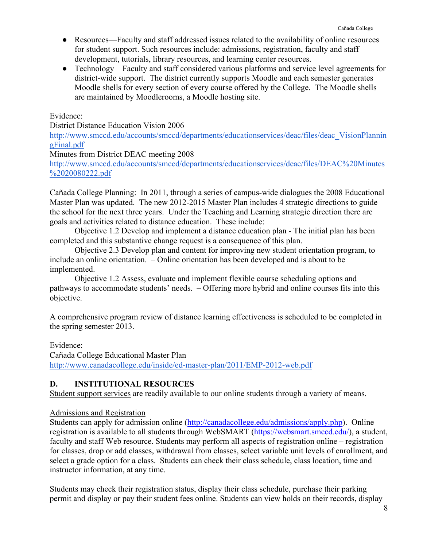- Resources—Faculty and staff addressed issues related to the availability of online resources for student support. Such resources include: admissions, registration, faculty and staff development, tutorials, library resources, and learning center resources.
- Technology—Faculty and staff considered various platforms and service level agreements for district-wide support. The district currently supports Moodle and each semester generates Moodle shells for every section of every course offered by the College. The Moodle shells are maintained by Moodlerooms, a Moodle hosting site.

Evidence:

District Distance Education Vision 2006

http://www.smccd.edu/accounts/smccd/departments/educationservices/deac/files/deac\_VisionPlannin gFinal.pdf

Minutes from District DEAC meeting 2008

http://www.smccd.edu/accounts/smccd/departments/educationservices/deac/files/DEAC%20Minutes %2020080222.pdf

Cañada College Planning: In 2011, through a series of campus-wide dialogues the 2008 Educational Master Plan was updated. The new 2012-2015 Master Plan includes 4 strategic directions to guide the school for the next three years. Under the Teaching and Learning strategic direction there are goals and activities related to distance education. These include:

Objective 1.2 Develop and implement a distance education plan - The initial plan has been completed and this substantive change request is a consequence of this plan.

Objective 2.3 Develop plan and content for improving new student orientation program, to include an online orientation. – Online orientation has been developed and is about to be implemented.

Objective 1.2 Assess, evaluate and implement flexible course scheduling options and pathways to accommodate students' needs. – Offering more hybrid and online courses fits into this objective.

A comprehensive program review of distance learning effectiveness is scheduled to be completed in the spring semester 2013.

Evidence:

Cañada College Educational Master Plan http://www.canadacollege.edu/inside/ed-master-plan/2011/EMP-2012-web.pdf

# **D. INSTITUTIONAL RESOURCES**

Student support services are readily available to our online students through a variety of means.

# Admissions and Registration

Students can apply for admission online (http://canadacollege.edu/admissions/apply.php). Online registration is available to all students through WebSMART (https://websmart.smccd.edu/), a student, faculty and staff Web resource. Students may perform all aspects of registration online – registration for classes, drop or add classes, withdrawal from classes, select variable unit levels of enrollment, and select a grade option for a class. Students can check their class schedule, class location, time and instructor information, at any time.

Students may check their registration status, display their class schedule, purchase their parking permit and display or pay their student fees online. Students can view holds on their records, display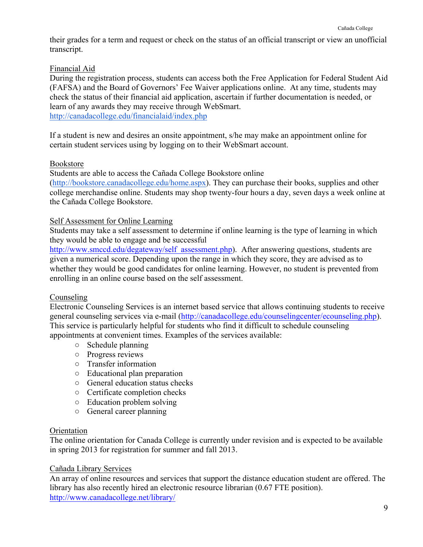their grades for a term and request or check on the status of an official transcript or view an unofficial transcript.

# Financial Aid

During the registration process, students can access both the Free Application for Federal Student Aid (FAFSA) and the Board of Governors' Fee Waiver applications online. At any time, students may check the status of their financial aid application, ascertain if further documentation is needed, or learn of any awards they may receive through WebSmart. http://canadacollege.edu/financialaid/index.php

If a student is new and desires an onsite appointment, s/he may make an appointment online for certain student services using by logging on to their WebSmart account.

# Bookstore

Students are able to access the Cañada College Bookstore online

(http://bookstore.canadacollege.edu/home.aspx). They can purchase their books, supplies and other college merchandise online. Students may shop twenty-four hours a day, seven days a week online at the Cañada College Bookstore.

# Self Assessment for Online Learning

Students may take a self assessment to determine if online learning is the type of learning in which they would be able to engage and be successful

http://www.smccd.edu/degateway/self\_assessment.php). After answering questions, students are given a numerical score. Depending upon the range in which they score, they are advised as to whether they would be good candidates for online learning. However, no student is prevented from enrolling in an online course based on the self assessment.

# Counseling

Electronic Counseling Services is an internet based service that allows continuing students to receive general counseling services via e-mail (http://canadacollege.edu/counselingcenter/ecounseling.php). This service is particularly helpful for students who find it difficult to schedule counseling appointments at convenient times. Examples of the services available:

- *○* Schedule planning
- *○* Progress reviews
- *○* Transfer information
- *○* Educational plan preparation
- *○* General education status checks
- *○* Certificate completion checks
- *○* Education problem solving
- *○* General career planning

# **Orientation**

The online orientation for Canada College is currently under revision and is expected to be available in spring 2013 for registration for summer and fall 2013.

# Cañada Library Services

An array of online resources and services that support the distance education student are offered. The library has also recently hired an electronic resource librarian (0.67 FTE position). http://www.canadacollege.net/library/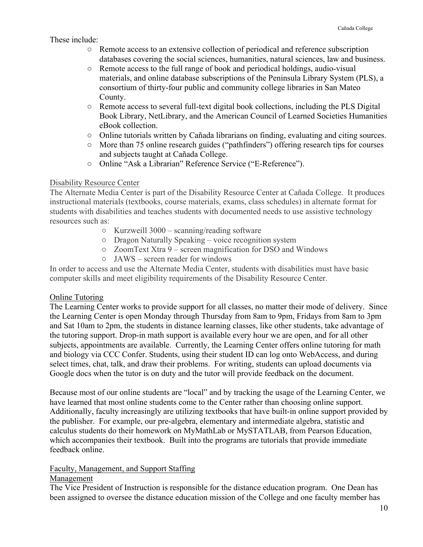# These include:

- Remote access to an extensive collection of periodical and reference subscription databases covering the social sciences, humanities, natural sciences, law and business.
- Remote access to the full range of book and periodical holdings, audio-visual materials, and online database subscriptions of the Peninsula Library System (PLS), a consortium of thirty-four public and community college libraries in San Mateo County.
- Remote access to several full-text digital book collections, including the PLS Digital Book Library, NetLibrary, and the American Council of Learned Societies Humanities eBook collection.
- Online tutorials written by Cañada librarians on finding, evaluating and citing sources.
- More than 75 online research guides ("pathfinders") offering research tips for courses and subjects taught at Cañada College.
- Online "Ask a Librarian" Reference Service ("E-Reference").

#### Disability Resource Center

The Alternate Media Center is part of the Disability Resource Center at Cañada College. It produces instructional materials (textbooks, course materials, exams, class schedules) in alternate format for students with disabilities and teaches students with documented needs to use assistive technology resources such as:

- *○* Kurzweill 3000 scanning/reading software
- *○* Dragon Naturally Speaking voice recognition system
- *○* ZoomText Xtra 9 screen magnification for DSO and Windows
	- *○* JAWS screen reader for windows

In order to access and use the Alternate Media Center, students with disabilities must have basic computer skills and meet eligibility requirements of the Disability Resource Center.

# Online Tutoring

The Learning Center works to provide support for all classes, no matter their mode of delivery. Since the Learning Center is open Monday through Thursday from 8am to 9pm, Fridays from 8am to 3pm and Sat 10am to 2pm, the students in distance learning classes, like other students, take advantage of the tutoring support. Drop-in math support is available every hour we are open, and for all other subjects, appointments are available. Currently, the Learning Center offers online tutoring for math and biology via CCC Confer. Students, using their student ID can log onto WebAccess, and during select times, chat, talk, and draw their problems. For writing, students can upload documents via Google docs when the tutor is on duty and the tutor will provide feedback on the document.

Because most of our online students are "local" and by tracking the usage of the Learning Center, we have learned that most online students come to the Center rather than choosing online support. Additionally, faculty increasingly are utilizing textbooks that have built-in online support provided by the publisher. For example, our pre-algebra, elementary and intermediate algebra, statistic and calculus students do their homework on MyMathLab or MySTATLAB, from Pearson Education, which accompanies their textbook. Built into the programs are tutorials that provide immediate feedback online.

# Faculty, Management, and Support Staffing

# Management

The Vice President of Instruction is responsible for the distance education program. One Dean has been assigned to oversee the distance education mission of the College and one faculty member has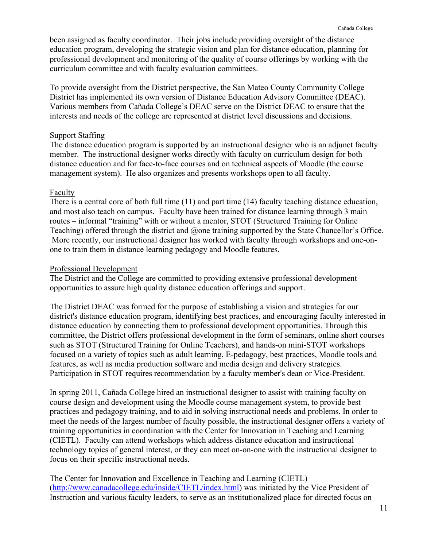been assigned as faculty coordinator. Their jobs include providing oversight of the distance education program, developing the strategic vision and plan for distance education, planning for professional development and monitoring of the quality of course offerings by working with the curriculum committee and with faculty evaluation committees.

To provide oversight from the District perspective, the San Mateo County Community College District has implemented its own version of Distance Education Advisory Committee (DEAC). Various members from Cañada College's DEAC serve on the District DEAC to ensure that the interests and needs of the college are represented at district level discussions and decisions.

# Support Staffing

The distance education program is supported by an instructional designer who is an adjunct faculty member. The instructional designer works directly with faculty on curriculum design for both distance education and for face-to-face courses and on technical aspects of Moodle (the course management system). He also organizes and presents workshops open to all faculty.

# Faculty

There is a central core of both full time (11) and part time (14) faculty teaching distance education, and most also teach on campus. Faculty have been trained for distance learning through 3 main routes – informal "training" with or without a mentor, STOT (Structured Training for Online Teaching) offered through the district and @one training supported by the State Chancellor's Office. More recently, our instructional designer has worked with faculty through workshops and one-onone to train them in distance learning pedagogy and Moodle features.

# Professional Development

The District and the College are committed to providing extensive professional development opportunities to assure high quality distance education offerings and support.

The District DEAC was formed for the purpose of establishing a vision and strategies for our district's distance education program, identifying best practices, and encouraging faculty interested in distance education by connecting them to professional development opportunities. Through this committee, the District offers professional development in the form of seminars, online short courses such as STOT (Structured Training for Online Teachers), and hands-on mini-STOT workshops focused on a variety of topics such as adult learning, E-pedagogy, best practices, Moodle tools and features, as well as media production software and media design and delivery strategies. Participation in STOT requires recommendation by a faculty member's dean or Vice-President.

In spring 2011, Cañada College hired an instructional designer to assist with training faculty on course design and development using the Moodle course management system, to provide best practices and pedagogy training, and to aid in solving instructional needs and problems. In order to meet the needs of the largest number of faculty possible, the instructional designer offers a variety of training opportunities in coordination with the Center for Innovation in Teaching and Learning (CIETL). Faculty can attend workshops which address distance education and instructional technology topics of general interest, or they can meet on-on-one with the instructional designer to focus on their specific instructional needs.

The Center for Innovation and Excellence in Teaching and Learning (CIETL) (http://www.canadacollege.edu/inside/CIETL/index.html) was initiated by the Vice President of Instruction and various faculty leaders, to serve as an institutionalized place for directed focus on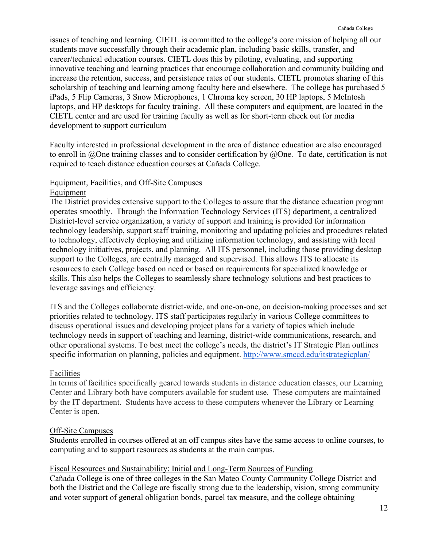issues of teaching and learning. CIETL is committed to the college's core mission of helping all our students move successfully through their academic plan, including basic skills, transfer, and career/technical education courses. CIETL does this by piloting, evaluating, and supporting innovative teaching and learning practices that encourage collaboration and community building and increase the retention, success, and persistence rates of our students. CIETL promotes sharing of this scholarship of teaching and learning among faculty here and elsewhere. The college has purchased 5 iPads, 5 Flip Cameras, 3 Snow Microphones, 1 Chroma key screen, 30 HP laptops, 5 McIntosh laptops, and HP desktops for faculty training. All these computers and equipment, are located in the CIETL center and are used for training faculty as well as for short-term check out for media development to support curriculum

Faculty interested in professional development in the area of distance education are also encouraged to enroll in @One training classes and to consider certification by @One. To date, certification is not required to teach distance education courses at Cañada College.

# Equipment, Facilities, and Off-Site Campuses

#### Equipment

The District provides extensive support to the Colleges to assure that the distance education program operates smoothly. Through the Information Technology Services (ITS) department, a centralized District-level service organization, a variety of support and training is provided for information technology leadership, support staff training, monitoring and updating policies and procedures related to technology, effectively deploying and utilizing information technology, and assisting with local technology initiatives, projects, and planning. All ITS personnel, including those providing desktop support to the Colleges, are centrally managed and supervised. This allows ITS to allocate its resources to each College based on need or based on requirements for specialized knowledge or skills. This also helps the Colleges to seamlessly share technology solutions and best practices to leverage savings and efficiency.

ITS and the Colleges collaborate district-wide, and one-on-one, on decision-making processes and set priorities related to technology. ITS staff participates regularly in various College committees to discuss operational issues and developing project plans for a variety of topics which include technology needs in support of teaching and learning, district-wide communications, research, and other operational systems. To best meet the college's needs, the district's IT Strategic Plan outlines specific information on planning, policies and equipment. http://www.smccd.edu/itstrategicplan/

# Facilities

In terms of facilities specifically geared towards students in distance education classes, our Learning Center and Library both have computers available for student use. These computers are maintained by the IT department. Students have access to these computers whenever the Library or Learning Center is open.

# Off-Site Campuses

Students enrolled in courses offered at an off campus sites have the same access to online courses, to computing and to support resources as students at the main campus.

# Fiscal Resources and Sustainability: Initial and Long-Term Sources of Funding

Cañada College is one of three colleges in the San Mateo County Community College District and both the District and the College are fiscally strong due to the leadership, vision, strong community and voter support of general obligation bonds, parcel tax measure, and the college obtaining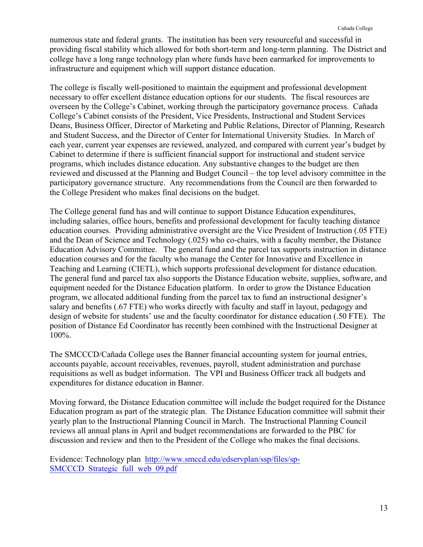numerous state and federal grants. The institution has been very resourceful and successful in providing fiscal stability which allowed for both short-term and long-term planning. The District and college have a long range technology plan where funds have been earmarked for improvements to infrastructure and equipment which will support distance education.

The college is fiscally well-positioned to maintain the equipment and professional development necessary to offer excellent distance education options for our students. The fiscal resources are overseen by the College's Cabinet, working through the participatory governance process. Cañada College's Cabinet consists of the President, Vice Presidents, Instructional and Student Services Deans, Business Officer, Director of Marketing and Public Relations, Director of Planning, Research and Student Success, and the Director of Center for International University Studies. In March of each year, current year expenses are reviewed, analyzed, and compared with current year's budget by Cabinet to determine if there is sufficient financial support for instructional and student service programs, which includes distance education. Any substantive changes to the budget are then reviewed and discussed at the Planning and Budget Council – the top level advisory committee in the participatory governance structure. Any recommendations from the Council are then forwarded to the College President who makes final decisions on the budget.

The College general fund has and will continue to support Distance Education expenditures, including salaries, office hours, benefits and professional development for faculty teaching distance education courses. Providing administrative oversight are the Vice President of Instruction (.05 FTE) and the Dean of Science and Technology (.025) who co-chairs, with a faculty member, the Distance Education Advisory Committee. The general fund and the parcel tax supports instruction in distance education courses and for the faculty who manage the Center for Innovative and Excellence in Teaching and Learning (CIETL), which supports professional development for distance education. The general fund and parcel tax also supports the Distance Education website, supplies, software, and equipment needed for the Distance Education platform. In order to grow the Distance Education program, we allocated additional funding from the parcel tax to fund an instructional designer's salary and benefits (.67 FTE) who works directly with faculty and staff in layout, pedagogy and design of website for students' use and the faculty coordinator for distance education (.50 FTE). The position of Distance Ed Coordinator has recently been combined with the Instructional Designer at 100%.

The SMCCCD/Cañada College uses the Banner financial accounting system for journal entries, accounts payable, account receivables, revenues, payroll, student administration and purchase requisitions as well as budget information. The VPI and Business Officer track all budgets and expenditures for distance education in Banner.

Moving forward, the Distance Education committee will include the budget required for the Distance Education program as part of the strategic plan. The Distance Education committee will submit their yearly plan to the Instructional Planning Council in March. The Instructional Planning Council reviews all annual plans in April and budget recommendations are forwarded to the PBC for discussion and review and then to the President of the College who makes the final decisions.

Evidence: Technology plan http://www.smccd.edu/edservplan/ssp/files/sp-SMCCCD Strategic full web 09.pdf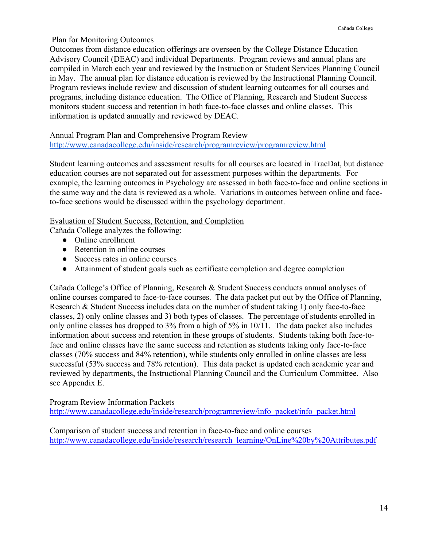# Plan for Monitoring Outcomes

Outcomes from distance education offerings are overseen by the College Distance Education Advisory Council (DEAC) and individual Departments. Program reviews and annual plans are compiled in March each year and reviewed by the Instruction or Student Services Planning Council in May. The annual plan for distance education is reviewed by the Instructional Planning Council. Program reviews include review and discussion of student learning outcomes for all courses and programs, including distance education. The Office of Planning, Research and Student Success monitors student success and retention in both face-to-face classes and online classes. This information is updated annually and reviewed by DEAC.

Annual Program Plan and Comprehensive Program Review http://www.canadacollege.edu/inside/research/programreview/programreview.html

Student learning outcomes and assessment results for all courses are located in TracDat, but distance education courses are not separated out for assessment purposes within the departments. For example, the learning outcomes in Psychology are assessed in both face-to-face and online sections in the same way and the data is reviewed as a whole. Variations in outcomes between online and faceto-face sections would be discussed within the psychology department.

# Evaluation of Student Success, Retention, and Completion

Cañada College analyzes the following:

- Online enrollment
- Retention in online courses
- Success rates in online courses
- Attainment of student goals such as certificate completion and degree completion

Cañada College's Office of Planning, Research & Student Success conducts annual analyses of online courses compared to face-to-face courses. The data packet put out by the Office of Planning, Research & Student Success includes data on the number of student taking 1) only face-to-face classes, 2) only online classes and 3) both types of classes. The percentage of students enrolled in only online classes has dropped to 3% from a high of 5% in 10/11. The data packet also includes information about success and retention in these groups of students. Students taking both face-toface and online classes have the same success and retention as students taking only face-to-face classes (70% success and 84% retention), while students only enrolled in online classes are less successful (53% success and 78% retention). This data packet is updated each academic year and reviewed by departments, the Instructional Planning Council and the Curriculum Committee. Also see Appendix E.

Program Review Information Packets

http://www.canadacollege.edu/inside/research/programreview/info\_packet/info\_packet.html

Comparison of student success and retention in face-to-face and online courses http://www.canadacollege.edu/inside/research/research\_learning/OnLine%20by%20Attributes.pdf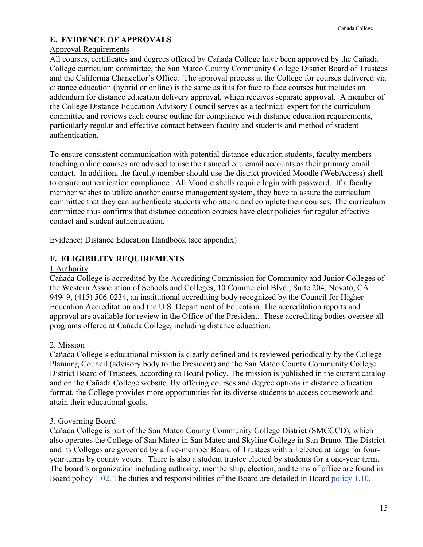# **E. EVIDENCE OF APPROVALS**

# Approval Requirements

All courses, certificates and degrees offered by Cañada College have been approved by the Cañada College curriculum committee, the San Mateo County Community College District Board of Trustees and the California Chancellor's Office. The approval process at the College for courses delivered via distance education (hybrid or online) is the same as it is for face to face courses but includes an addendum for distance education delivery approval, which receives separate approval. A member of the College Distance Education Advisory Council serves as a technical expert for the curriculum committee and reviews each course outline for compliance with distance education requirements, particularly regular and effective contact between faculty and students and method of student authentication.

To ensure consistent communication with potential distance education students, faculty members teaching online courses are advised to use their smccd.edu email accounts as their primary email contact. In addition, the faculty member should use the district provided Moodle (WebAccess) shell to ensure authentication compliance. All Moodle shells require login with password. If a faculty member wishes to utilize another course management system, they have to assure the curriculum committee that they can authenticate students who attend and complete their courses. The curriculum committee thus confirms that distance education courses have clear policies for regular effective contact and student authentication.

Evidence: Distance Education Handbook (see appendix)

# **F. ELIGIBILITY REQUIREMENTS**

# 1.Authority

Cañada College is accredited by the Accrediting Commission for Community and Junior Colleges of the Western Association of Schools and Colleges, 10 Commercial Blvd., Suite 204, Novato, CA 94949, (415) 506-0234, an institutional accrediting body recognized by the Council for Higher Education Accreditation and the U.S. Department of Education. The accreditation reports and approval are available for review in the Office of the President. These accrediting bodies oversee all programs offered at Cañada College, including distance education.

# 2. Mission

Cañada College's educational mission is clearly defined and is reviewed periodically by the College Planning Council (advisory body to the President) and the San Mateo County Community College District Board of Trustees, according to Board policy. The mission is published in the current catalog and on the Cañada College website. By offering courses and degree options in distance education format, the College provides more opportunities for its diverse students to access coursework and attain their educational goals.

# 3. Governing Board

Cañada College is part of the San Mateo County Community College District (SMCCCD), which also operates the College of San Mateo in San Mateo and Skyline College in San Bruno. The District and its Colleges are governed by a five-member Board of Trustees with all elected at large for fouryear terms by county voters. There is also a student trustee elected by students for a one-year term. The board's organization including authority, membership, election, and terms of office are found in Board policy 1.02. The duties and responsibilities of the Board are detailed in Board policy 1.10.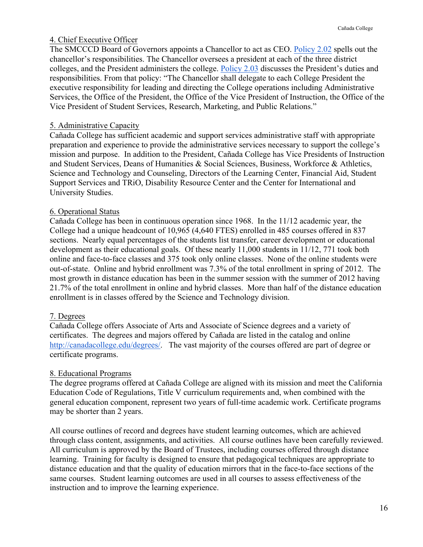# 4. Chief Executive Officer

The SMCCCD Board of Governors appoints a Chancellor to act as CEO. Policy 2.02 spells out the chancellor's responsibilities. The Chancellor oversees a president at each of the three district colleges, and the President administers the college. Policy 2.03 discusses the President's duties and responsibilities. From that policy: "The Chancellor shall delegate to each College President the executive responsibility for leading and directing the College operations including Administrative Services, the Office of the President, the Office of the Vice President of Instruction, the Office of the Vice President of Student Services, Research, Marketing, and Public Relations."

# 5. Administrative Capacity

Cañada College has sufficient academic and support services administrative staff with appropriate preparation and experience to provide the administrative services necessary to support the college's mission and purpose. In addition to the President, Cañada College has Vice Presidents of Instruction and Student Services, Deans of Humanities & Social Sciences, Business, Workforce & Athletics, Science and Technology and Counseling, Directors of the Learning Center, Financial Aid, Student Support Services and TRiO, Disability Resource Center and the Center for International and University Studies.

# 6. Operational Status

Cañada College has been in continuous operation since 1968. In the 11/12 academic year, the College had a unique headcount of 10,965 (4,640 FTES) enrolled in 485 courses offered in 837 sections. Nearly equal percentages of the students list transfer, career development or educational development as their educational goals. Of these nearly 11,000 students in 11/12, 771 took both online and face-to-face classes and 375 took only online classes. None of the online students were out-of-state. Online and hybrid enrollment was 7.3% of the total enrollment in spring of 2012. The most growth in distance education has been in the summer session with the summer of 2012 having 21.7% of the total enrollment in online and hybrid classes. More than half of the distance education enrollment is in classes offered by the Science and Technology division.

# 7. Degrees

Cañada College offers Associate of Arts and Associate of Science degrees and a variety of certificates. The degrees and majors offered by Cañada are listed in the catalog and online http://canadacollege.edu/degrees/. The vast majority of the courses offered are part of degree or certificate programs.

# 8. Educational Programs

The degree programs offered at Cañada College are aligned with its mission and meet the California Education Code of Regulations, Title V curriculum requirements and, when combined with the general education component, represent two years of full-time academic work. Certificate programs may be shorter than 2 years.

All course outlines of record and degrees have student learning outcomes, which are achieved through class content, assignments, and activities. All course outlines have been carefully reviewed. All curriculum is approved by the Board of Trustees, including courses offered through distance learning. Training for faculty is designed to ensure that pedagogical techniques are appropriate to distance education and that the quality of education mirrors that in the face-to-face sections of the same courses. Student learning outcomes are used in all courses to assess effectiveness of the instruction and to improve the learning experience.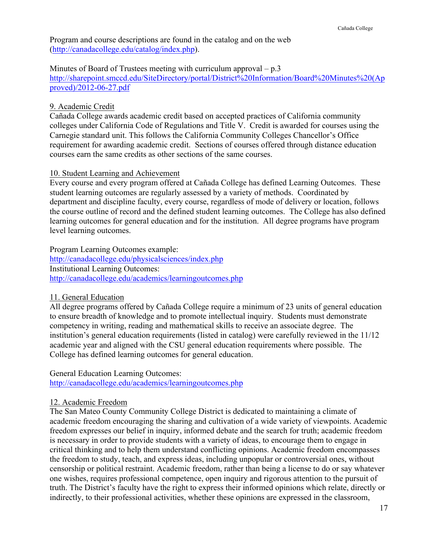Program and course descriptions are found in the catalog and on the web (http://canadacollege.edu/catalog/index.php).

Minutes of Board of Trustees meeting with curriculum approval  $-p.3$ 

http://sharepoint.smccd.edu/SiteDirectory/portal/District%20Information/Board%20Minutes%20(Ap proved)/2012-06-27.pdf

# 9. Academic Credit

Cañada College awards academic credit based on accepted practices of California community colleges under California Code of Regulations and Title V. Credit is awarded for courses using the Carnegie standard unit. This follows the California Community Colleges Chancellor's Office requirement for awarding academic credit. Sections of courses offered through distance education courses earn the same credits as other sections of the same courses.

# 10. Student Learning and Achievement

Every course and every program offered at Cañada College has defined Learning Outcomes. These student learning outcomes are regularly assessed by a variety of methods. Coordinated by department and discipline faculty, every course, regardless of mode of delivery or location, follows the course outline of record and the defined student learning outcomes. The College has also defined learning outcomes for general education and for the institution. All degree programs have program level learning outcomes.

Program Learning Outcomes example: http://canadacollege.edu/physicalsciences/index.php Institutional Learning Outcomes: http://canadacollege.edu/academics/learningoutcomes.php

# 11. General Education

All degree programs offered by Cañada College require a minimum of 23 units of general education to ensure breadth of knowledge and to promote intellectual inquiry. Students must demonstrate competency in writing, reading and mathematical skills to receive an associate degree. The institution's general education requirements (listed in catalog) were carefully reviewed in the 11/12 academic year and aligned with the CSU general education requirements where possible. The College has defined learning outcomes for general education.

General Education Learning Outcomes:

http://canadacollege.edu/academics/learningoutcomes.php

# 12. Academic Freedom

The San Mateo County Community College District is dedicated to maintaining a climate of academic freedom encouraging the sharing and cultivation of a wide variety of viewpoints. Academic freedom expresses our belief in inquiry, informed debate and the search for truth; academic freedom is necessary in order to provide students with a variety of ideas, to encourage them to engage in critical thinking and to help them understand conflicting opinions. Academic freedom encompasses the freedom to study, teach, and express ideas, including unpopular or controversial ones, without censorship or political restraint. Academic freedom, rather than being a license to do or say whatever one wishes, requires professional competence, open inquiry and rigorous attention to the pursuit of truth. The District's faculty have the right to express their informed opinions which relate, directly or indirectly, to their professional activities, whether these opinions are expressed in the classroom,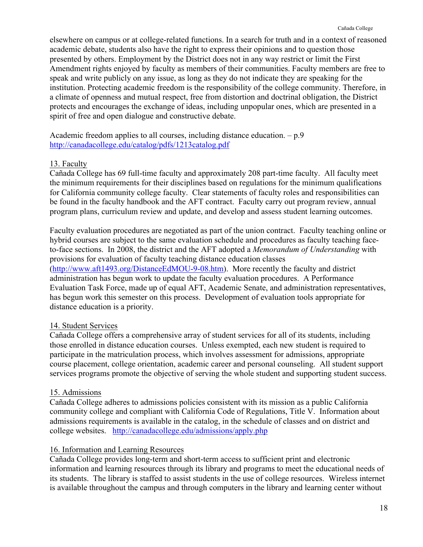elsewhere on campus or at college-related functions. In a search for truth and in a context of reasoned academic debate, students also have the right to express their opinions and to question those presented by others. Employment by the District does not in any way restrict or limit the First Amendment rights enjoyed by faculty as members of their communities. Faculty members are free to speak and write publicly on any issue, as long as they do not indicate they are speaking for the institution. Protecting academic freedom is the responsibility of the college community. Therefore, in a climate of openness and mutual respect, free from distortion and doctrinal obligation, the District protects and encourages the exchange of ideas, including unpopular ones, which are presented in a spirit of free and open dialogue and constructive debate.

Academic freedom applies to all courses, including distance education. – p.9 http://canadacollege.edu/catalog/pdfs/1213catalog.pdf

# 13. Faculty

Cañada College has 69 full-time faculty and approximately 208 part-time faculty. All faculty meet the minimum requirements for their disciplines based on regulations for the minimum qualifications for California community college faculty. Clear statements of faculty roles and responsibilities can be found in the faculty handbook and the AFT contract. Faculty carry out program review, annual program plans, curriculum review and update, and develop and assess student learning outcomes.

Faculty evaluation procedures are negotiated as part of the union contract. Faculty teaching online or hybrid courses are subject to the same evaluation schedule and procedures as faculty teaching faceto-face sections. In 2008, the district and the AFT adopted a *Memorandum of Understanding* with provisions for evaluation of faculty teaching distance education classes (http://www.aft1493.org/DistanceEdMOU-9-08.htm). More recently the faculty and district administration has begun work to update the faculty evaluation procedures. A Performance Evaluation Task Force, made up of equal AFT, Academic Senate, and administration representatives, has begun work this semester on this process. Development of evaluation tools appropriate for

# 14. Student Services

distance education is a priority.

Cañada College offers a comprehensive array of student services for all of its students, including those enrolled in distance education courses. Unless exempted, each new student is required to participate in the matriculation process, which involves assessment for admissions, appropriate course placement, college orientation, academic career and personal counseling. All student support services programs promote the objective of serving the whole student and supporting student success.

# 15. Admissions

Cañada College adheres to admissions policies consistent with its mission as a public California community college and compliant with California Code of Regulations, Title V. Information about admissions requirements is available in the catalog, in the schedule of classes and on district and college websites. http://canadacollege.edu/admissions/apply.php

# 16. Information and Learning Resources

Cañada College provides long-term and short-term access to sufficient print and electronic information and learning resources through its library and programs to meet the educational needs of its students. The library is staffed to assist students in the use of college resources. Wireless internet is available throughout the campus and through computers in the library and learning center without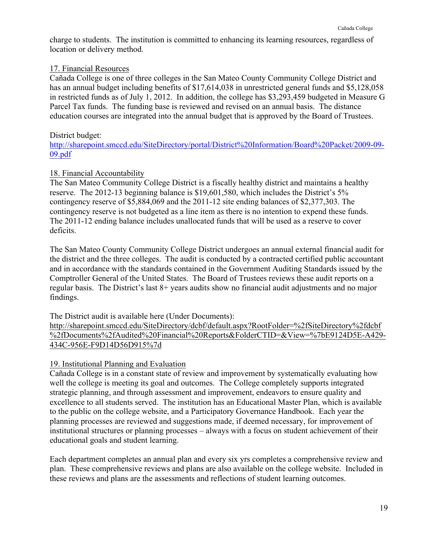charge to students. The institution is committed to enhancing its learning resources, regardless of location or delivery method.

# 17. Financial Resources

Cañada College is one of three colleges in the San Mateo County Community College District and has an annual budget including benefits of \$17,614,038 in unrestricted general funds and \$5,128,058 in restricted funds as of July 1, 2012. In addition, the college has \$3,293,459 budgeted in Measure G Parcel Tax funds. The funding base is reviewed and revised on an annual basis. The distance education courses are integrated into the annual budget that is approved by the Board of Trustees.

# District budget:

http://sharepoint.smccd.edu/SiteDirectory/portal/District%20Information/Board%20Packet/2009-09- 09.pdf

# 18. Financial Accountability

The San Mateo Community College District is a fiscally healthy district and maintains a healthy reserve. The 2012-13 beginning balance is \$19,601,580, which includes the District's 5% contingency reserve of \$5,884,069 and the 2011-12 site ending balances of \$2,377,303. The contingency reserve is not budgeted as a line item as there is no intention to expend these funds. The 2011-12 ending balance includes unallocated funds that will be used as a reserve to cover deficits.

The San Mateo County Community College District undergoes an annual external financial audit for the district and the three colleges. The audit is conducted by a contracted certified public accountant and in accordance with the standards contained in the Government Auditing Standards issued by the Comptroller General of the United States. The Board of Trustees reviews these audit reports on a regular basis. The District's last 8+ years audits show no financial audit adjustments and no major findings.

The District audit is available here (Under Documents):

http://sharepoint.smccd.edu/SiteDirectory/dcbf/default.aspx?RootFolder=%2fSiteDirectory%2fdcbf %2fDocuments%2fAudited%20Financial%20Reports&FolderCTID=&View=%7bE9124D5E-A429- 434C-956E-F9D14D56D915%7d

# 19. Institutional Planning and Evaluation

Cañada College is in a constant state of review and improvement by systematically evaluating how well the college is meeting its goal and outcomes. The College completely supports integrated strategic planning, and through assessment and improvement, endeavors to ensure quality and excellence to all students served. The institution has an Educational Master Plan, which is available to the public on the college website, and a Participatory Governance Handbook. Each year the planning processes are reviewed and suggestions made, if deemed necessary, for improvement of institutional structures or planning processes – always with a focus on student achievement of their educational goals and student learning.

Each department completes an annual plan and every six yrs completes a comprehensive review and plan. These comprehensive reviews and plans are also available on the college website. Included in these reviews and plans are the assessments and reflections of student learning outcomes.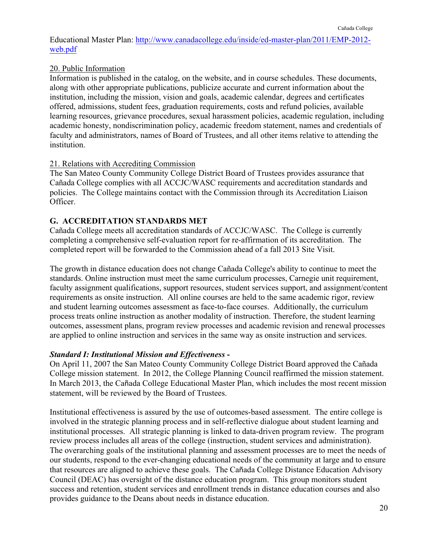Educational Master Plan: http://www.canadacollege.edu/inside/ed-master-plan/2011/EMP-2012 web.pdf

# 20. Public Information

Information is published in the catalog, on the website, and in course schedules. These documents, along with other appropriate publications, publicize accurate and current information about the institution, including the mission, vision and goals, academic calendar, degrees and certificates offered, admissions, student fees, graduation requirements, costs and refund policies, available learning resources, grievance procedures, sexual harassment policies, academic regulation, including academic honesty, nondiscrimination policy, academic freedom statement, names and credentials of faculty and administrators, names of Board of Trustees, and all other items relative to attending the **institution** 

# 21. Relations with Accrediting Commission

The San Mateo County Community College District Board of Trustees provides assurance that Cañada College complies with all ACCJC/WASC requirements and accreditation standards and policies. The College maintains contact with the Commission through its Accreditation Liaison Officer.

# **G. ACCREDITATION STANDARDS MET**

Cañada College meets all accreditation standards of ACCJC/WASC. The College is currently completing a comprehensive self-evaluation report for re-affirmation of its accreditation. The completed report will be forwarded to the Commission ahead of a fall 2013 Site Visit.

The growth in distance education does not change Cañada College's ability to continue to meet the standards. Online instruction must meet the same curriculum processes, Carnegie unit requirement, faculty assignment qualifications, support resources, student services support, and assignment/content requirements as onsite instruction. All online courses are held to the same academic rigor, review and student learning outcomes assessment as face-to-face courses. Additionally, the curriculum process treats online instruction as another modality of instruction. Therefore, the student learning outcomes, assessment plans, program review processes and academic revision and renewal processes are applied to online instruction and services in the same way as onsite instruction and services.

# *Standard I: Institutional Mission and Effectiveness* **-**

On April 11, 2007 the San Mateo County Community College District Board approved the Cañada College mission statement. In 2012, the College Planning Council reaffirmed the mission statement. In March 2013, the Cañada College Educational Master Plan, which includes the most recent mission statement, will be reviewed by the Board of Trustees.

Institutional effectiveness is assured by the use of outcomes-based assessment. The entire college is involved in the strategic planning process and in self-reflective dialogue about student learning and institutional processes. All strategic planning is linked to data-driven program review. The program review process includes all areas of the college (instruction, student services and administration). The overarching goals of the institutional planning and assessment processes are to meet the needs of our students, respond to the ever-changing educational needs of the community at large and to ensure that resources are aligned to achieve these goals. The Cañada College Distance Education Advisory Council (DEAC) has oversight of the distance education program. This group monitors student success and retention, student services and enrollment trends in distance education courses and also provides guidance to the Deans about needs in distance education.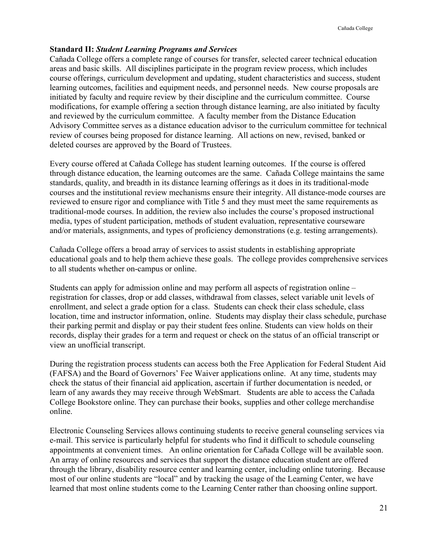#### **Standard II:** *Student Learning Programs and Services*

Cañada College offers a complete range of courses for transfer, selected career technical education areas and basic skills. All disciplines participate in the program review process, which includes course offerings, curriculum development and updating, student characteristics and success, student learning outcomes, facilities and equipment needs, and personnel needs. New course proposals are initiated by faculty and require review by their discipline and the curriculum committee. Course modifications, for example offering a section through distance learning, are also initiated by faculty and reviewed by the curriculum committee. A faculty member from the Distance Education Advisory Committee serves as a distance education advisor to the curriculum committee for technical review of courses being proposed for distance learning. All actions on new, revised, banked or deleted courses are approved by the Board of Trustees.

Every course offered at Cañada College has student learning outcomes. If the course is offered through distance education, the learning outcomes are the same. Cañada College maintains the same standards, quality, and breadth in its distance learning offerings as it does in its traditional-mode courses and the institutional review mechanisms ensure their integrity. All distance-mode courses are reviewed to ensure rigor and compliance with Title 5 and they must meet the same requirements as traditional-mode courses. In addition, the review also includes the course's proposed instructional media, types of student participation, methods of student evaluation, representative courseware and/or materials, assignments, and types of proficiency demonstrations (e.g. testing arrangements).

Cañada College offers a broad array of services to assist students in establishing appropriate educational goals and to help them achieve these goals. The college provides comprehensive services to all students whether on-campus or online.

Students can apply for admission online and may perform all aspects of registration online – registration for classes, drop or add classes, withdrawal from classes, select variable unit levels of enrollment, and select a grade option for a class. Students can check their class schedule, class location, time and instructor information, online. Students may display their class schedule, purchase their parking permit and display or pay their student fees online. Students can view holds on their records, display their grades for a term and request or check on the status of an official transcript or view an unofficial transcript.

During the registration process students can access both the Free Application for Federal Student Aid (FAFSA) and the Board of Governors' Fee Waiver applications online. At any time, students may check the status of their financial aid application, ascertain if further documentation is needed, or learn of any awards they may receive through WebSmart. Students are able to access the Cañada College Bookstore online. They can purchase their books, supplies and other college merchandise online.

Electronic Counseling Services allows continuing students to receive general counseling services via e-mail. This service is particularly helpful for students who find it difficult to schedule counseling appointments at convenient times. An online orientation for Cañada College will be available soon. An array of online resources and services that support the distance education student are offered through the library, disability resource center and learning center, including online tutoring. Because most of our online students are "local" and by tracking the usage of the Learning Center, we have learned that most online students come to the Learning Center rather than choosing online support.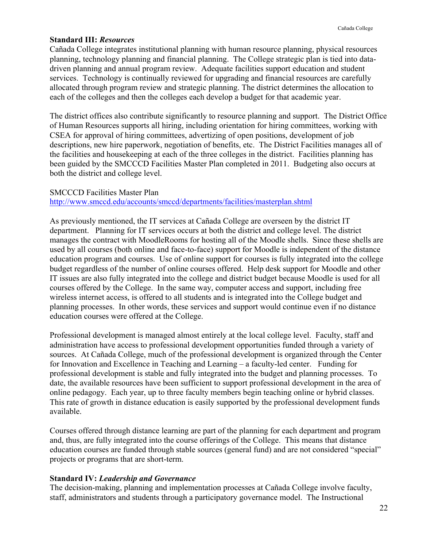#### **Standard III:** *Resources*

Cañada College integrates institutional planning with human resource planning, physical resources planning, technology planning and financial planning. The College strategic plan is tied into datadriven planning and annual program review. Adequate facilities support education and student services. Technology is continually reviewed for upgrading and financial resources are carefully allocated through program review and strategic planning. The district determines the allocation to each of the colleges and then the colleges each develop a budget for that academic year.

The district offices also contribute significantly to resource planning and support. The District Office of Human Resources supports all hiring, including orientation for hiring committees, working with CSEA for approval of hiring committees, advertizing of open positions, development of job descriptions, new hire paperwork, negotiation of benefits, etc. The District Facilities manages all of the facilities and housekeeping at each of the three colleges in the district. Facilities planning has been guided by the SMCCCD Facilities Master Plan completed in 2011. Budgeting also occurs at both the district and college level.

#### SMCCCD Facilities Master Plan

#### http://www.smccd.edu/accounts/smccd/departments/facilities/masterplan.shtml

As previously mentioned, the IT services at Cañada College are overseen by the district IT department. Planning for IT services occurs at both the district and college level. The district manages the contract with MoodleRooms for hosting all of the Moodle shells. Since these shells are used by all courses (both online and face-to-face) support for Moodle is independent of the distance education program and courses. Use of online support for courses is fully integrated into the college budget regardless of the number of online courses offered. Help desk support for Moodle and other IT issues are also fully integrated into the college and district budget because Moodle is used for all courses offered by the College. In the same way, computer access and support, including free wireless internet access, is offered to all students and is integrated into the College budget and planning processes. In other words, these services and support would continue even if no distance education courses were offered at the College.

Professional development is managed almost entirely at the local college level. Faculty, staff and administration have access to professional development opportunities funded through a variety of sources. At Cañada College, much of the professional development is organized through the Center for Innovation and Excellence in Teaching and Learning – a faculty-led center. Funding for professional development is stable and fully integrated into the budget and planning processes. To date, the available resources have been sufficient to support professional development in the area of online pedagogy. Each year, up to three faculty members begin teaching online or hybrid classes. This rate of growth in distance education is easily supported by the professional development funds available.

Courses offered through distance learning are part of the planning for each department and program and, thus, are fully integrated into the course offerings of the College. This means that distance education courses are funded through stable sources (general fund) and are not considered "special" projects or programs that are short-term.

# **Standard IV:** *Leadership and Governance*

The decision-making, planning and implementation processes at Cañada College involve faculty, staff, administrators and students through a participatory governance model. The Instructional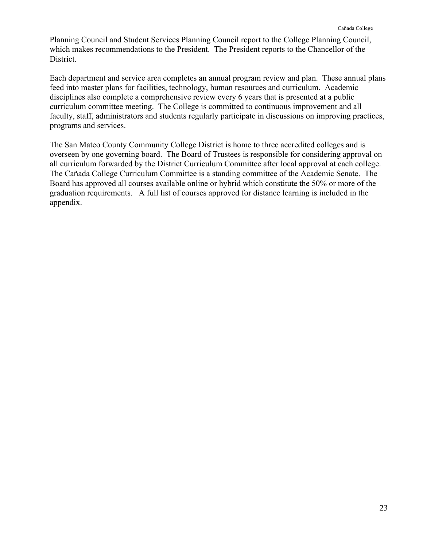Planning Council and Student Services Planning Council report to the College Planning Council, which makes recommendations to the President. The President reports to the Chancellor of the District.

Each department and service area completes an annual program review and plan. These annual plans feed into master plans for facilities, technology, human resources and curriculum. Academic disciplines also complete a comprehensive review every 6 years that is presented at a public curriculum committee meeting. The College is committed to continuous improvement and all faculty, staff, administrators and students regularly participate in discussions on improving practices, programs and services.

The San Mateo County Community College District is home to three accredited colleges and is overseen by one governing board. The Board of Trustees is responsible for considering approval on all curriculum forwarded by the District Curriculum Committee after local approval at each college. The Cañada College Curriculum Committee is a standing committee of the Academic Senate. The Board has approved all courses available online or hybrid which constitute the 50% or more of the graduation requirements. A full list of courses approved for distance learning is included in the appendix.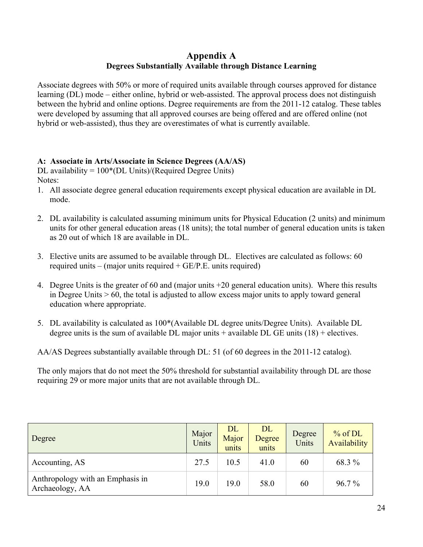# **Appendix A Degrees Substantially Available through Distance Learning**

Associate degrees with 50% or more of required units available through courses approved for distance learning (DL) mode – either online, hybrid or web-assisted. The approval process does not distinguish between the hybrid and online options. Degree requirements are from the 2011-12 catalog. These tables were developed by assuming that all approved courses are being offered and are offered online (not hybrid or web-assisted), thus they are overestimates of what is currently available.

# **A: Associate in Arts/Associate in Science Degrees (AA/AS)**

DL availability =  $100*(DL$  Units)/(Required Degree Units) Notes:

- 1. All associate degree general education requirements except physical education are available in DL mode.
- 2. DL availability is calculated assuming minimum units for Physical Education (2 units) and minimum units for other general education areas (18 units); the total number of general education units is taken as 20 out of which 18 are available in DL.
- 3. Elective units are assumed to be available through DL. Electives are calculated as follows: 60 required units – (major units required + GE/P.E. units required)
- 4. Degree Units is the greater of 60 and (major units +20 general education units). Where this results in Degree Units  $> 60$ , the total is adjusted to allow excess major units to apply toward general education where appropriate.
- 5. DL availability is calculated as 100\*(Available DL degree units/Degree Units). Available DL degree units is the sum of available DL major units  $+$  available DL GE units (18)  $+$  electives.

AA/AS Degrees substantially available through DL: 51 (of 60 degrees in the 2011-12 catalog).

The only majors that do not meet the 50% threshold for substantial availability through DL are those requiring 29 or more major units that are not available through DL.

| Degree                                              | Major<br>Units | <b>DL</b><br>Major<br>units | DL<br>Degree<br>units | Degree<br>Units | $%$ of DL<br>Availability |
|-----------------------------------------------------|----------------|-----------------------------|-----------------------|-----------------|---------------------------|
| Accounting, AS                                      | 27.5           | 10.5                        | 41.0                  | 60              | 68.3 %                    |
| Anthropology with an Emphasis in<br>Archaeology, AA | 19.0           | 19.0                        | 58.0                  | 60              | $96.7\%$                  |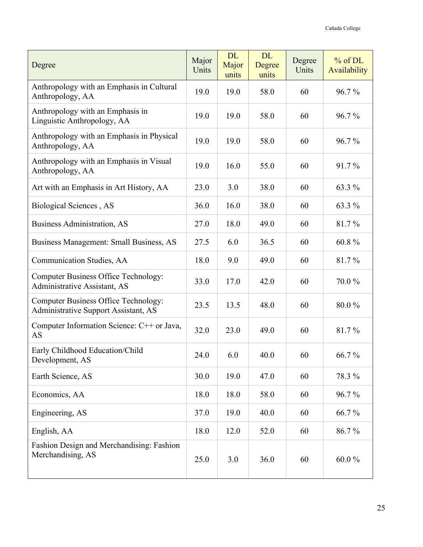| Degree                                                                              | Major<br>Units | <b>DL</b><br>Major<br>units | <b>DL</b><br>Degree<br>units | Degree<br>Units | % of DL<br>Availability |
|-------------------------------------------------------------------------------------|----------------|-----------------------------|------------------------------|-----------------|-------------------------|
| Anthropology with an Emphasis in Cultural<br>Anthropology, AA                       | 19.0           | 19.0                        | 58.0                         | 60              | 96.7%                   |
| Anthropology with an Emphasis in<br>Linguistic Anthropology, AA                     | 19.0           | 19.0                        | 58.0                         | 60              | 96.7%                   |
| Anthropology with an Emphasis in Physical<br>Anthropology, AA                       | 19.0           | 19.0                        | 58.0                         | 60              | 96.7%                   |
| Anthropology with an Emphasis in Visual<br>Anthropology, AA                         | 19.0           | 16.0                        | 55.0                         | 60              | 91.7%                   |
| Art with an Emphasis in Art History, AA                                             | 23.0           | 3.0                         | 38.0                         | 60              | 63.3 %                  |
| Biological Sciences, AS                                                             | 36.0           | 16.0                        | 38.0                         | 60              | 63.3 %                  |
| <b>Business Administration, AS</b>                                                  | 27.0           | 18.0                        | 49.0                         | 60              | 81.7%                   |
| Business Management: Small Business, AS                                             | 27.5           | 6.0                         | 36.5                         | 60              | 60.8%                   |
| Communication Studies, AA                                                           | 18.0           | 9.0                         | 49.0                         | 60              | 81.7%                   |
| Computer Business Office Technology:<br>Administrative Assistant, AS                | 33.0           | 17.0                        | 42.0                         | 60              | 70.0%                   |
| <b>Computer Business Office Technology:</b><br>Administrative Support Assistant, AS | 23.5           | 13.5                        | 48.0                         | 60              | 80.0%                   |
| Computer Information Science: C++ or Java,<br>AS                                    | 32.0           | 23.0                        | 49.0                         | 60              | 81.7%                   |
| Early Childhood Education/Child<br>Development, AS                                  | 24.0           | 6.0                         | 40.0                         | 60              | 66.7%                   |
| Earth Science, AS                                                                   | 30.0           | 19.0                        | 47.0                         | 60              | 78.3%                   |
| Economics, AA                                                                       | 18.0           | 18.0                        | 58.0                         | 60              | 96.7%                   |
| Engineering, AS                                                                     | 37.0           | 19.0                        | 40.0                         | 60              | 66.7%                   |
| English, AA                                                                         | 18.0           | 12.0                        | 52.0                         | 60              | 86.7%                   |
| Fashion Design and Merchandising: Fashion<br>Merchandising, AS                      | 25.0           | 3.0                         | 36.0                         | 60              | 60.0%                   |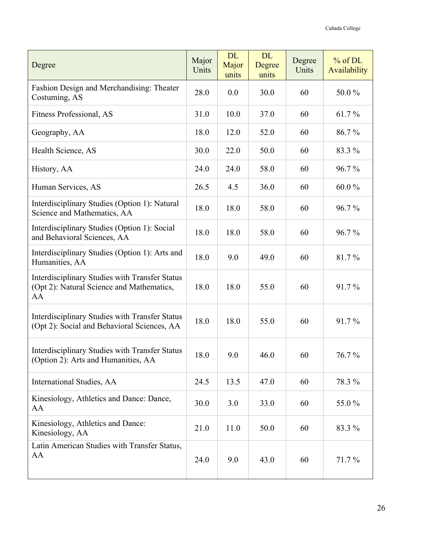| Degree                                                                                                   | Major<br>Units | <b>DL</b><br>Major<br>units | <b>DL</b><br>Degree<br>units | Degree<br>Units | % of DL<br>Availability |
|----------------------------------------------------------------------------------------------------------|----------------|-----------------------------|------------------------------|-----------------|-------------------------|
| Fashion Design and Merchandising: Theater<br>Costuming, AS                                               | 28.0           | 0.0                         | 30.0                         | 60              | 50.0%                   |
| Fitness Professional, AS                                                                                 | 31.0           | 10.0                        | 37.0                         | 60              | 61.7%                   |
| Geography, AA                                                                                            | 18.0           | 12.0                        | 52.0                         | 60              | 86.7%                   |
| Health Science, AS                                                                                       | 30.0           | 22.0                        | 50.0                         | 60              | 83.3 %                  |
| History, AA                                                                                              | 24.0           | 24.0                        | 58.0                         | 60              | 96.7%                   |
| Human Services, AS                                                                                       | 26.5           | 4.5                         | 36.0                         | 60              | 60.0%                   |
| Interdisciplinary Studies (Option 1): Natural<br>Science and Mathematics, AA                             | 18.0           | 18.0                        | 58.0                         | 60              | 96.7%                   |
| Interdisciplinary Studies (Option 1): Social<br>and Behavioral Sciences, AA                              | 18.0           | 18.0                        | 58.0                         | 60              | 96.7%                   |
| Interdisciplinary Studies (Option 1): Arts and<br>Humanities, AA                                         | 18.0           | 9.0                         | 49.0                         | 60              | 81.7%                   |
| <b>Interdisciplinary Studies with Transfer Status</b><br>(Opt 2): Natural Science and Mathematics,<br>AA | 18.0           | 18.0                        | 55.0                         | 60              | 91.7%                   |
| Interdisciplinary Studies with Transfer Status<br>(Opt 2): Social and Behavioral Sciences, AA            | 18.0           | 18.0                        | 55.0                         | 60              | 91.7%                   |
| Interdisciplinary Studies with Transfer Status<br>(Option 2): Arts and Humanities, AA                    | 18.0           | 9.0                         | 46.0                         | 60              | 76.7%                   |
| International Studies, AA                                                                                | 24.5           | 13.5                        | 47.0                         | 60              | 78.3 %                  |
| Kinesiology, Athletics and Dance: Dance,<br>AA                                                           | 30.0           | 3.0                         | 33.0                         | 60              | 55.0%                   |
| Kinesiology, Athletics and Dance:<br>Kinesiology, AA                                                     | 21.0           | 11.0                        | 50.0                         | 60              | 83.3 %                  |
| Latin American Studies with Transfer Status,<br>AA                                                       | 24.0           | 9.0                         | 43.0                         | 60              | 71.7%                   |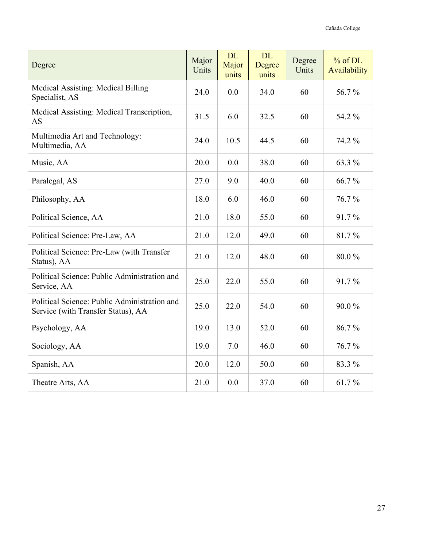| Degree                                                                             | Major<br>Units | <b>DL</b><br>Major<br>units | <b>DL</b><br>Degree<br>units | Degree<br>Units | $%$ of DL<br>Availability |
|------------------------------------------------------------------------------------|----------------|-----------------------------|------------------------------|-----------------|---------------------------|
| Medical Assisting: Medical Billing<br>Specialist, AS                               | 24.0           | 0.0                         | 34.0                         | 60              | 56.7%                     |
| Medical Assisting: Medical Transcription,<br>AS                                    | 31.5           | 6.0                         | 32.5                         | 60              | 54.2 %                    |
| Multimedia Art and Technology:<br>Multimedia, AA                                   | 24.0           | 10.5                        | 44.5                         | 60              | 74.2 %                    |
| Music, AA                                                                          | 20.0           | 0.0                         | 38.0                         | 60              | 63.3 %                    |
| Paralegal, AS                                                                      | 27.0           | 9.0                         | 40.0                         | 60              | 66.7%                     |
| Philosophy, AA                                                                     | 18.0           | 6.0                         | 46.0                         | 60              | 76.7%                     |
| Political Science, AA                                                              | 21.0           | 18.0                        | 55.0                         | 60              | 91.7%                     |
| Political Science: Pre-Law, AA                                                     | 21.0           | 12.0                        | 49.0                         | 60              | 81.7%                     |
| Political Science: Pre-Law (with Transfer<br>Status), AA                           | 21.0           | 12.0                        | 48.0                         | 60              | 80.0%                     |
| Political Science: Public Administration and<br>Service, AA                        | 25.0           | 22.0                        | 55.0                         | 60              | 91.7%                     |
| Political Science: Public Administration and<br>Service (with Transfer Status), AA | 25.0           | 22.0                        | 54.0                         | 60              | 90.0%                     |
| Psychology, AA                                                                     | 19.0           | 13.0                        | 52.0                         | 60              | 86.7%                     |
| Sociology, AA                                                                      | 19.0           | 7.0                         | 46.0                         | 60              | 76.7%                     |
| Spanish, AA                                                                        | 20.0           | 12.0                        | 50.0                         | 60              | 83.3 %                    |
| Theatre Arts, AA                                                                   | 21.0           | 0.0                         | 37.0                         | 60              | 61.7%                     |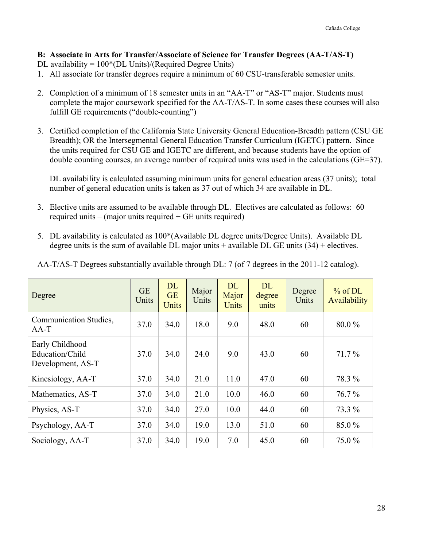# **B: Associate in Arts for Transfer/Associate of Science for Transfer Degrees (AA-T/AS-T)**

- DL availability =  $100*(DL$  Units)/(Required Degree Units)
- 1. All associate for transfer degrees require a minimum of 60 CSU-transferable semester units.
- 2. Completion of a minimum of 18 semester units in an "AA-T" or "AS-T" major. Students must complete the major coursework specified for the AA-T/AS-T. In some cases these courses will also fulfill GE requirements ("double-counting")
- 3. Certified completion of the California State University General Education-Breadth pattern (CSU GE Breadth); OR the Intersegmental General Education Transfer Curriculum (IGETC) pattern. Since the units required for CSU GE and IGETC are different, and because students have the option of double counting courses, an average number of required units was used in the calculations (GE=37).

DL availability is calculated assuming minimum units for general education areas (37 units); total number of general education units is taken as 37 out of which 34 are available in DL.

- 3. Elective units are assumed to be available through DL. Electives are calculated as follows: 60 required units – (major units required  $+$  GE units required)
- 5. DL availability is calculated as 100\*(Available DL degree units/Degree Units). Available DL degree units is the sum of available DL major units  $+$  available DL GE units (34)  $+$  electives.

| Degree                                                  | <b>GE</b><br>Units | <b>DL</b><br><b>GE</b><br><b>Units</b> | Major<br>Units | <b>DL</b><br>Major<br><b>Units</b> | <b>DL</b><br>degree<br>units | Degree<br>Units | % of DL<br>Availability |
|---------------------------------------------------------|--------------------|----------------------------------------|----------------|------------------------------------|------------------------------|-----------------|-------------------------|
| <b>Communication Studies,</b><br>$AA-T$                 | 37.0               | 34.0                                   | 18.0           | 9.0                                | 48.0                         | 60              | 80.0%                   |
| Early Childhood<br>Education/Child<br>Development, AS-T | 37.0               | 34.0                                   | 24.0           | 9.0                                | 43.0                         | 60              | $71.7\%$                |
| Kinesiology, AA-T                                       | 37.0               | 34.0                                   | 21.0           | 11.0                               | 47.0                         | 60              | 78.3 %                  |
| Mathematics, AS-T                                       | 37.0               | 34.0                                   | 21.0           | 10.0                               | 46.0                         | 60              | $76.7\%$                |
| Physics, AS-T                                           | 37.0               | 34.0                                   | 27.0           | 10.0                               | 44.0                         | 60              | 73.3 %                  |
| Psychology, AA-T                                        | 37.0               | 34.0                                   | 19.0           | 13.0                               | 51.0                         | 60              | 85.0%                   |
| Sociology, AA-T                                         | 37.0               | 34.0                                   | 19.0           | 7.0                                | 45.0                         | 60              | 75.0 %                  |

AA-T/AS-T Degrees substantially available through DL: 7 (of 7 degrees in the 2011-12 catalog).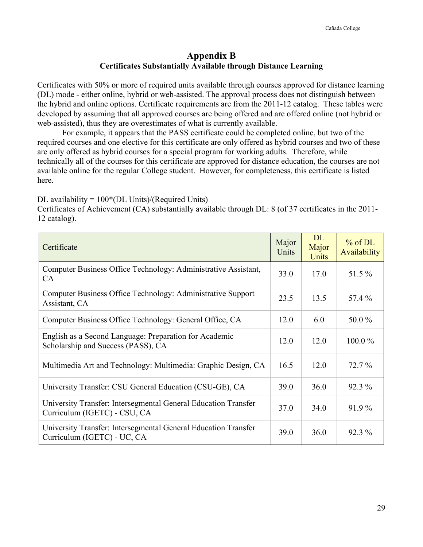# **Appendix B Certificates Substantially Available through Distance Learning**

Certificates with 50% or more of required units available through courses approved for distance learning (DL) mode - either online, hybrid or web-assisted. The approval process does not distinguish between the hybrid and online options. Certificate requirements are from the 2011-12 catalog. These tables were developed by assuming that all approved courses are being offered and are offered online (not hybrid or web-assisted), thus they are overestimates of what is currently available.

For example, it appears that the PASS certificate could be completed online, but two of the required courses and one elective for this certificate are only offered as hybrid courses and two of these are only offered as hybrid courses for a special program for working adults. Therefore, while technically all of the courses for this certificate are approved for distance education, the courses are not available online for the regular College student. However, for completeness, this certificate is listed here.

DL availability =  $100*(DL$  Units)/(Required Units)

Certificates of Achievement (CA) substantially available through DL: 8 (of 37 certificates in the 2011- 12 catalog).

| Certificate                                                                                    | Major<br>Units | <b>DL</b><br>Major<br>Units | % of DL<br>Availability |
|------------------------------------------------------------------------------------------------|----------------|-----------------------------|-------------------------|
| Computer Business Office Technology: Administrative Assistant,<br><b>CA</b>                    | 33.0           | 17.0                        | 51.5 %                  |
| Computer Business Office Technology: Administrative Support<br>Assistant, CA                   | 23.5           | 13.5                        | 57.4 %                  |
| Computer Business Office Technology: General Office, CA                                        | 12.0           | 6.0                         | 50.0%                   |
| English as a Second Language: Preparation for Academic<br>Scholarship and Success (PASS), CA   | 12.0           | 12.0                        | $100.0\%$               |
| Multimedia Art and Technology: Multimedia: Graphic Design, CA                                  |                | 12.0                        | $72.7\%$                |
| University Transfer: CSU General Education (CSU-GE), CA                                        | 39.0           | 36.0                        | $92.3\%$                |
| University Transfer: Intersegmental General Education Transfer<br>Curriculum (IGETC) - CSU, CA | 37.0           | 34.0                        | $91.9\%$                |
| University Transfer: Intersegmental General Education Transfer<br>Curriculum (IGETC) - UC, CA  | 39.0           | 36.0                        | $92.3\%$                |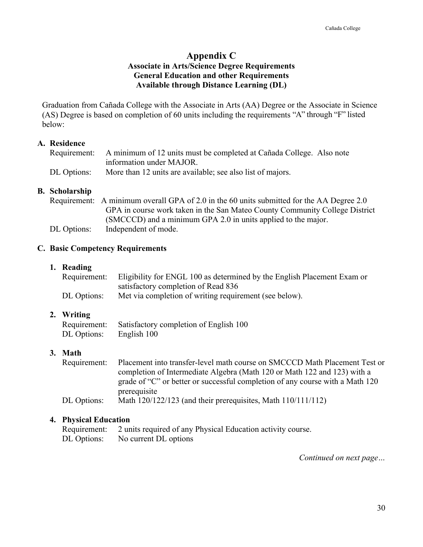# **Appendix C Associate in Arts/Science Degree Requirements General Education and other Requirements Available through Distance Learning (DL)**

Graduation from Cañada College with the Associate in Arts (AA) Degree or the Associate in Science (AS) Degree is based on completion of 60 units including the requirements "A" through "F" listed below:

# **A. Residence**

|             | Requirement: A minimum of 12 units must be completed at Cañada College. Also note |
|-------------|-----------------------------------------------------------------------------------|
|             | information under MAJOR.                                                          |
| DL Options: | More than 12 units are available; see also list of majors.                        |

# **B. Scholarship**

Requirement: A minimum overall GPA of 2.0 in the 60 units submitted for the AA Degree 2.0 GPA in course work taken in the San Mateo County Community College District (SMCCCD) and a minimum GPA 2.0 in units applied to the major. DL Options: Independent of mode.

#### **C. Basic Competency Requirements**

#### **1. Reading**

|             | Requirement: Eligibility for ENGL 100 as determined by the English Placement Exam or |
|-------------|--------------------------------------------------------------------------------------|
|             | satisfactory completion of Read 836                                                  |
| DL Options: | Met via completion of writing requirement (see below).                               |

# **2. Writing**

Requirement: Satisfactory completion of English 100 DL Options: English 100

# **3. Math**

Requirement: Placement into transfer-level math course on SMCCCD Math Placement Test or completion of Intermediate Algebra (Math 120 or Math 122 and 123) with a grade of "C" or better or successful completion of any course with a Math 120 prerequisite DL Options: Math 120/122/123 (and their prerequisites, Math 110/111/112)

#### **4. Physical Education**

| Requirement: 2 units required of any Physical Education activity course. |
|--------------------------------------------------------------------------|
| DL Options: No current DL options                                        |

*Continued on next page…*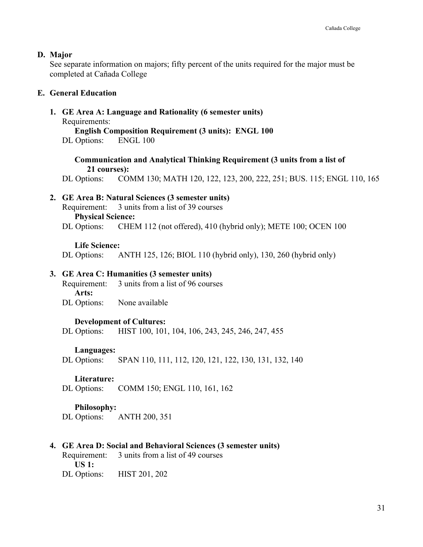#### **D. Major**

See separate information on majors; fifty percent of the units required for the major must be completed at Cañada College

#### **E. General Education**

**1. GE Area A: Language and Rationality (6 semester units)**

Requirements:

**English Composition Requirement (3 units): ENGL 100**

DL Options: ENGL 100

**Communication and Analytical Thinking Requirement (3 units from a list of 21 courses):**

DL Options: COMM 130; MATH 120, 122, 123, 200, 222, 251; BUS. 115; ENGL 110, 165

# **2. GE Area B: Natural Sciences (3 semester units)**

Requirement: 3 units from a list of 39 courses **Physical Science:** DL Options: CHEM 112 (not offered), 410 (hybrid only); METE 100; OCEN 100

#### **Life Science:**

DL Options: ANTH 125, 126; BIOL 110 (hybrid only), 130, 260 (hybrid only)

# **3. GE Area C: Humanities (3 semester units)**

Requirement: 3 units from a list of 96 courses **Arts:** DL Options: None available

# **Development of Cultures:**

DL Options: HIST 100, 101, 104, 106, 243, 245, 246, 247, 455

# **Languages:**

DL Options: SPAN 110, 111, 112, 120, 121, 122, 130, 131, 132, 140

# **Literature:**

DL Options: COMM 150; ENGL 110, 161, 162

# **Philosophy:**

DL Options: ANTH 200, 351

# **4. GE Area D: Social and Behavioral Sciences (3 semester units)**

Requirement: 3 units from a list of 49 courses **US 1:**  DL Options: HIST 201, 202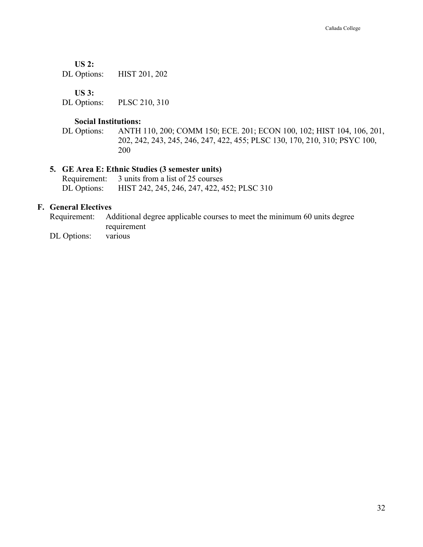**US 2:** 

DL Options: HIST 201, 202

**US 3:** 

DL Options: PLSC 210, 310

#### **Social Institutions:**

DL Options: ANTH 110, 200; COMM 150; ECE. 201; ECON 100, 102; HIST 104, 106, 201, 202, 242, 243, 245, 246, 247, 422, 455; PLSC 130, 170, 210, 310; PSYC 100, 200

# **5. GE Area E: Ethnic Studies (3 semester units)**

Requirement: 3 units from a list of 25 courses DL Options: HIST 242, 245, 246, 247, 422, 452; PLSC 310

# **F. General Electives**

Requirement: Additional degree applicable courses to meet the minimum 60 units degree requirement

DL Options: various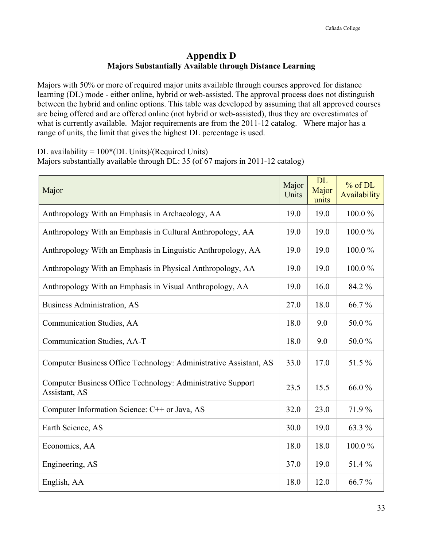# **Appendix D Majors Substantially Available through Distance Learning**

Majors with 50% or more of required major units available through courses approved for distance learning (DL) mode - either online, hybrid or web-assisted. The approval process does not distinguish between the hybrid and online options. This table was developed by assuming that all approved courses are being offered and are offered online (not hybrid or web-assisted), thus they are overestimates of what is currently available. Major requirements are from the 2011-12 catalog. Where major has a range of units, the limit that gives the highest DL percentage is used.

DL availability =  $100*(DL$  Units)/(Required Units) Majors substantially available through DL: 35 (of 67 majors in 2011-12 catalog)

| Major                                                                        | Major<br>Units | <b>DL</b><br>Major<br>units | $%$ of DL<br>Availability |
|------------------------------------------------------------------------------|----------------|-----------------------------|---------------------------|
| Anthropology With an Emphasis in Archaeology, AA                             | 19.0           | 19.0                        | 100.0%                    |
| Anthropology With an Emphasis in Cultural Anthropology, AA                   | 19.0           | 19.0                        | 100.0%                    |
| Anthropology With an Emphasis in Linguistic Anthropology, AA                 | 19.0           | 19.0                        | 100.0%                    |
| Anthropology With an Emphasis in Physical Anthropology, AA                   | 19.0           | 19.0                        | 100.0%                    |
| Anthropology With an Emphasis in Visual Anthropology, AA                     | 19.0           | 16.0                        | 84.2 %                    |
| <b>Business Administration, AS</b>                                           | 27.0           | 18.0                        | 66.7%                     |
| Communication Studies, AA                                                    | 18.0           | 9.0                         | 50.0%                     |
| Communication Studies, AA-T                                                  | 18.0           | 9.0                         | 50.0%                     |
| Computer Business Office Technology: Administrative Assistant, AS            | 33.0           | 17.0                        | 51.5%                     |
| Computer Business Office Technology: Administrative Support<br>Assistant, AS | 23.5           | 15.5                        | 66.0%                     |
| Computer Information Science: C++ or Java, AS                                | 32.0           | 23.0                        | 71.9%                     |
| Earth Science, AS                                                            | 30.0           | 19.0                        | 63.3 %                    |
| Economics, AA                                                                | 18.0           | 18.0                        | 100.0%                    |
| Engineering, AS                                                              | 37.0           | 19.0                        | 51.4%                     |
| English, AA                                                                  | 18.0           | 12.0                        | 66.7%                     |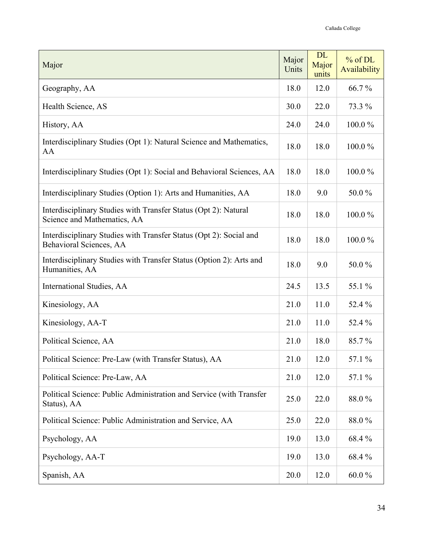| Major                                                                                          | Major<br>Units | <b>DL</b><br>Major<br>units | % of DL<br>Availability |
|------------------------------------------------------------------------------------------------|----------------|-----------------------------|-------------------------|
| Geography, AA                                                                                  | 18.0           | 12.0                        | 66.7%                   |
| Health Science, AS                                                                             | 30.0           | 22.0                        | 73.3 %                  |
| History, AA                                                                                    | 24.0           | 24.0                        | 100.0%                  |
| Interdisciplinary Studies (Opt 1): Natural Science and Mathematics,<br>AA                      | 18.0           | 18.0                        | 100.0%                  |
| Interdisciplinary Studies (Opt 1): Social and Behavioral Sciences, AA                          | 18.0           | 18.0                        | 100.0%                  |
| Interdisciplinary Studies (Option 1): Arts and Humanities, AA                                  | 18.0           | 9.0                         | 50.0%                   |
| Interdisciplinary Studies with Transfer Status (Opt 2): Natural<br>Science and Mathematics, AA | 18.0           | 18.0                        | 100.0%                  |
| Interdisciplinary Studies with Transfer Status (Opt 2): Social and<br>Behavioral Sciences, AA  | 18.0           | 18.0                        | 100.0%                  |
| Interdisciplinary Studies with Transfer Status (Option 2): Arts and<br>Humanities, AA          | 18.0           | 9.0                         | 50.0%                   |
| International Studies, AA                                                                      | 24.5           | 13.5                        | 55.1 %                  |
| Kinesiology, AA                                                                                | 21.0           | 11.0                        | 52.4 %                  |
| Kinesiology, AA-T                                                                              | 21.0           | 11.0                        | 52.4 %                  |
| Political Science, AA                                                                          | 21.0           | 18.0                        | 85.7%                   |
| Political Science: Pre-Law (with Transfer Status), AA                                          | 21.0           | 12.0                        | 57.1 %                  |
| Political Science: Pre-Law, AA                                                                 | 21.0           | 12.0                        | 57.1 %                  |
| Political Science: Public Administration and Service (with Transfer<br>Status), AA             | 25.0           | 22.0                        | 88.0%                   |
| Political Science: Public Administration and Service, AA                                       | 25.0           | 22.0                        | 88.0%                   |
| Psychology, AA                                                                                 | 19.0           | 13.0                        | 68.4%                   |
| Psychology, AA-T                                                                               | 19.0           | 13.0                        | 68.4%                   |
| Spanish, AA                                                                                    | 20.0           | 12.0                        | 60.0 $%$                |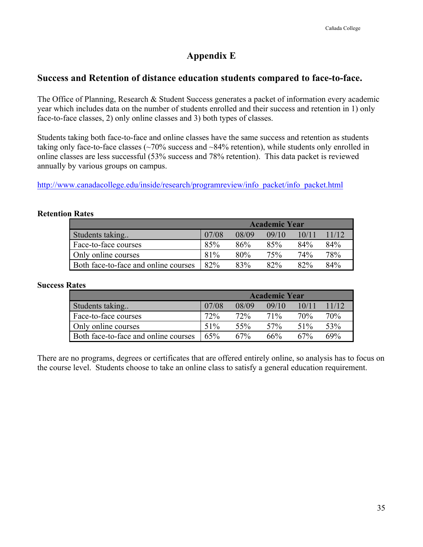# **Appendix E**

# **Success and Retention of distance education students compared to face-to-face.**

The Office of Planning, Research & Student Success generates a packet of information every academic year which includes data on the number of students enrolled and their success and retention in 1) only face-to-face classes, 2) only online classes and 3) both types of classes.

Students taking both face-to-face and online classes have the same success and retention as students taking only face-to-face classes (~70% success and ~84% retention), while students only enrolled in online classes are less successful (53% success and 78% retention). This data packet is reviewed annually by various groups on campus.

http://www.canadacollege.edu/inside/research/programreview/info\_packet/info\_packet.html

|                                      | <b>Academic Year</b> |       |       |       |       |  |
|--------------------------------------|----------------------|-------|-------|-------|-------|--|
| Students taking                      | 07/08                | 08/09 | 09/10 | 10/11 | 11/12 |  |
| Face-to-face courses                 | 85%                  | 86%   | 85%   | 84%   | 84%   |  |
| Only online courses                  | 81%                  | 80%   | 75%   | 74%   | 78%   |  |
| Both face-to-face and online courses | 82%                  | 83%   | 82%   | 82%   | 84%   |  |

# **Retention Rates**

# **Success Rates**

|                                      |       |       | <b>Academic Year</b> |       |       |
|--------------------------------------|-------|-------|----------------------|-------|-------|
| Students taking                      | 07/08 | 08/09 | 09/10                | 10/11 | 11/12 |
| Face-to-face courses                 | 72%   | 72%   | 71%                  | 70%   | 70%   |
| Only online courses                  | 51%   | 55%   | 57%                  | 51%   | 53%   |
| Both face-to-face and online courses | 65%   | 67%   | 66%                  | 67%   | 69%   |

There are no programs, degrees or certificates that are offered entirely online, so analysis has to focus on the course level. Students choose to take an online class to satisfy a general education requirement.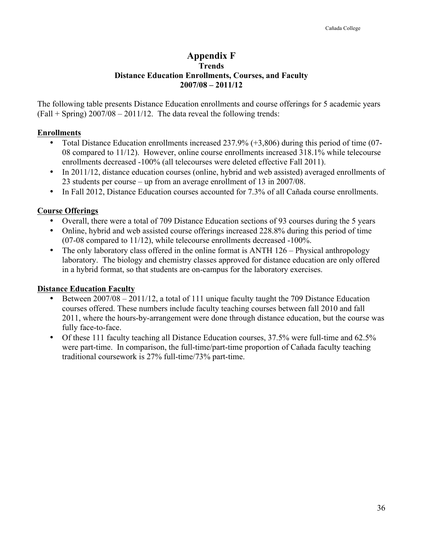# **Appendix F Trends Distance Education Enrollments, Courses, and Faculty 2007/08 – 2011/12**

The following table presents Distance Education enrollments and course offerings for 5 academic years  $(Fall + Spring)$  2007/08 – 2011/12. The data reveal the following trends:

# **Enrollments**

- Total Distance Education enrollments increased 237.9% (+3,806) during this period of time (07-08 compared to 11/12). However, online course enrollments increased 318.1% while telecourse enrollments decreased -100% (all telecourses were deleted effective Fall 2011).
- In 2011/12, distance education courses (online, hybrid and web assisted) averaged enrollments of 23 students per course – up from an average enrollment of 13 in 2007/08.
- In Fall 2012, Distance Education courses accounted for 7.3% of all Cañada course enrollments.

# **Course Offerings**

- Overall, there were a total of 709 Distance Education sections of 93 courses during the 5 years
- Online, hybrid and web assisted course offerings increased 228.8% during this period of time (07-08 compared to 11/12), while telecourse enrollments decreased -100%.
- The only laboratory class offered in the online format is ANTH 126 Physical anthropology laboratory. The biology and chemistry classes approved for distance education are only offered in a hybrid format, so that students are on-campus for the laboratory exercises.

# **Distance Education Faculty**

- Between 2007/08 2011/12, a total of 111 unique faculty taught the 709 Distance Education courses offered. These numbers include faculty teaching courses between fall 2010 and fall 2011, where the hours-by-arrangement were done through distance education, but the course was fully face-to-face.
- Of these 111 faculty teaching all Distance Education courses, 37.5% were full-time and 62.5% were part-time. In comparison, the full-time/part-time proportion of Cañada faculty teaching traditional coursework is 27% full-time/73% part-time.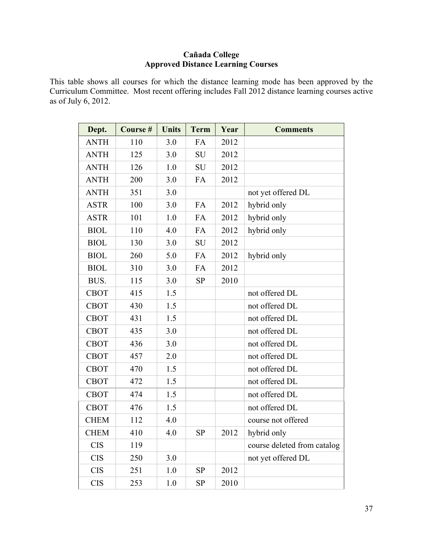# **Cañada College Approved Distance Learning Courses**

This table shows all courses for which the distance learning mode has been approved by the Curriculum Committee. Most recent offering includes Fall 2012 distance learning courses active as of July 6, 2012.

| Dept.       | Course # | <b>Units</b> | <b>Term</b> | Year | <b>Comments</b>             |
|-------------|----------|--------------|-------------|------|-----------------------------|
| <b>ANTH</b> | 110      | 3.0          | FA          | 2012 |                             |
| <b>ANTH</b> | 125      | 3.0          | <b>SU</b>   | 2012 |                             |
| <b>ANTH</b> | 126      | 1.0          | <b>SU</b>   | 2012 |                             |
| <b>ANTH</b> | 200      | 3.0          | FA          | 2012 |                             |
| <b>ANTH</b> | 351      | 3.0          |             |      | not yet offered DL          |
| <b>ASTR</b> | 100      | 3.0          | FA          | 2012 | hybrid only                 |
| <b>ASTR</b> | 101      | 1.0          | FA          | 2012 | hybrid only                 |
| <b>BIOL</b> | 110      | 4.0          | FA          | 2012 | hybrid only                 |
| <b>BIOL</b> | 130      | 3.0          | <b>SU</b>   | 2012 |                             |
| <b>BIOL</b> | 260      | 5.0          | FA          | 2012 | hybrid only                 |
| <b>BIOL</b> | 310      | 3.0          | FA          | 2012 |                             |
| BUS.        | 115      | 3.0          | <b>SP</b>   | 2010 |                             |
| <b>CBOT</b> | 415      | 1.5          |             |      | not offered DL              |
| <b>CBOT</b> | 430      | 1.5          |             |      | not offered DL              |
| <b>CBOT</b> | 431      | 1.5          |             |      | not offered DL              |
| <b>CBOT</b> | 435      | 3.0          |             |      | not offered DL              |
| <b>CBOT</b> | 436      | 3.0          |             |      | not offered DL              |
| <b>CBOT</b> | 457      | 2.0          |             |      | not offered DL              |
| <b>CBOT</b> | 470      | 1.5          |             |      | not offered DL              |
| <b>CBOT</b> | 472      | 1.5          |             |      | not offered DL              |
| <b>CBOT</b> | 474      | 1.5          |             |      | not offered DL              |
| <b>CBOT</b> | 476      | 1.5          |             |      | not offered DL              |
| <b>CHEM</b> | 112      | 4.0          |             |      | course not offered          |
| <b>CHEM</b> | 410      | 4.0          | SP          | 2012 | hybrid only                 |
| <b>CIS</b>  | 119      |              |             |      | course deleted from catalog |
| <b>CIS</b>  | 250      | 3.0          |             |      | not yet offered DL          |
| <b>CIS</b>  | 251      | 1.0          | <b>SP</b>   | 2012 |                             |
| <b>CIS</b>  | 253      | 1.0          | <b>SP</b>   | 2010 |                             |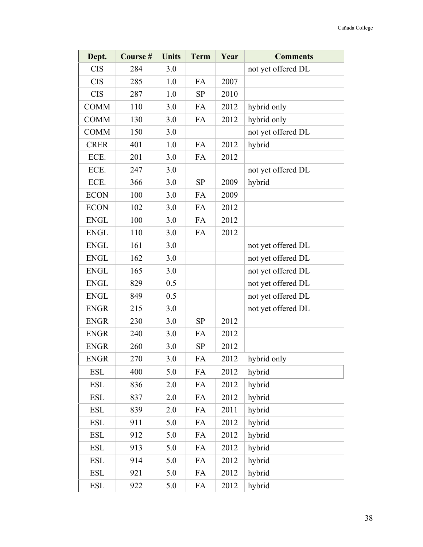| Dept.       | Course# | <b>Units</b> | <b>Term</b> | Year | <b>Comments</b>    |
|-------------|---------|--------------|-------------|------|--------------------|
| <b>CIS</b>  | 284     | 3.0          |             |      | not yet offered DL |
| <b>CIS</b>  | 285     | 1.0          | FA          | 2007 |                    |
| <b>CIS</b>  | 287     | 1.0          | <b>SP</b>   | 2010 |                    |
| <b>COMM</b> | 110     | 3.0          | FA          | 2012 | hybrid only        |
| <b>COMM</b> | 130     | 3.0          | FA          | 2012 | hybrid only        |
| <b>COMM</b> | 150     | 3.0          |             |      | not yet offered DL |
| <b>CRER</b> | 401     | 1.0          | FA          | 2012 | hybrid             |
| ECE.        | 201     | 3.0          | FA          | 2012 |                    |
| ECE.        | 247     | 3.0          |             |      | not yet offered DL |
| ECE.        | 366     | 3.0          | <b>SP</b>   | 2009 | hybrid             |
| <b>ECON</b> | 100     | 3.0          | FA          | 2009 |                    |
| <b>ECON</b> | 102     | 3.0          | FA          | 2012 |                    |
| <b>ENGL</b> | 100     | 3.0          | FA          | 2012 |                    |
| <b>ENGL</b> | 110     | 3.0          | <b>FA</b>   | 2012 |                    |
| <b>ENGL</b> | 161     | 3.0          |             |      | not yet offered DL |
| <b>ENGL</b> | 162     | 3.0          |             |      | not yet offered DL |
| <b>ENGL</b> | 165     | 3.0          |             |      | not yet offered DL |
| <b>ENGL</b> | 829     | 0.5          |             |      | not yet offered DL |
| <b>ENGL</b> | 849     | 0.5          |             |      | not yet offered DL |
| <b>ENGR</b> | 215     | 3.0          |             |      | not yet offered DL |
| <b>ENGR</b> | 230     | 3.0          | <b>SP</b>   | 2012 |                    |
| <b>ENGR</b> | 240     | 3.0          | FA          | 2012 |                    |
| <b>ENGR</b> | 260     | 3.0          | <b>SP</b>   | 2012 |                    |
| <b>ENGR</b> | 270     | 3.0          | FA          | 2012 | hybrid only        |
| <b>ESL</b>  | 400     | 5.0          | FA          | 2012 | hybrid             |
| <b>ESL</b>  | 836     | 2.0          | FA          | 2012 | hybrid             |
| <b>ESL</b>  | 837     | 2.0          | FA          | 2012 | hybrid             |
| <b>ESL</b>  | 839     | 2.0          | FA          | 2011 | hybrid             |
| <b>ESL</b>  | 911     | 5.0          | FA          | 2012 | hybrid             |
| <b>ESL</b>  | 912     | 5.0          | FA          | 2012 | hybrid             |
| <b>ESL</b>  | 913     | 5.0          | FA          | 2012 | hybrid             |
| <b>ESL</b>  | 914     | 5.0          | FA          | 2012 | hybrid             |
| <b>ESL</b>  | 921     | 5.0          | FA          | 2012 | hybrid             |
| <b>ESL</b>  | 922     | 5.0          | FA          | 2012 | hybrid             |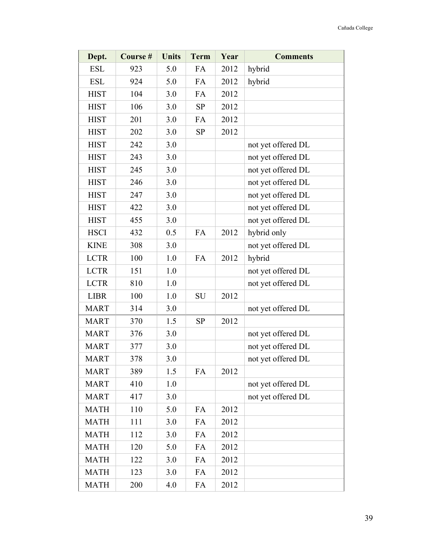| Dept.       | Course # | <b>Units</b> | <b>Term</b> | Year | <b>Comments</b>    |
|-------------|----------|--------------|-------------|------|--------------------|
| <b>ESL</b>  | 923      | 5.0          | FA          | 2012 | hybrid             |
| <b>ESL</b>  | 924      | 5.0          | FA          | 2012 | hybrid             |
| <b>HIST</b> | 104      | 3.0          | FA          | 2012 |                    |
| <b>HIST</b> | 106      | 3.0          | <b>SP</b>   | 2012 |                    |
| <b>HIST</b> | 201      | 3.0          | FA          | 2012 |                    |
| <b>HIST</b> | 202      | 3.0          | <b>SP</b>   | 2012 |                    |
| <b>HIST</b> | 242      | 3.0          |             |      | not yet offered DL |
| <b>HIST</b> | 243      | 3.0          |             |      | not yet offered DL |
| <b>HIST</b> | 245      | 3.0          |             |      | not yet offered DL |
| <b>HIST</b> | 246      | 3.0          |             |      | not yet offered DL |
| <b>HIST</b> | 247      | 3.0          |             |      | not yet offered DL |
| <b>HIST</b> | 422      | 3.0          |             |      | not yet offered DL |
| <b>HIST</b> | 455      | 3.0          |             |      | not yet offered DL |
| <b>HSCI</b> | 432      | 0.5          | FA          | 2012 | hybrid only        |
| <b>KINE</b> | 308      | 3.0          |             |      | not yet offered DL |
| <b>LCTR</b> | 100      | 1.0          | FA          | 2012 | hybrid             |
| <b>LCTR</b> | 151      | 1.0          |             |      | not yet offered DL |
| <b>LCTR</b> | 810      | 1.0          |             |      | not yet offered DL |
| <b>LIBR</b> | 100      | 1.0          | <b>SU</b>   | 2012 |                    |
| <b>MART</b> | 314      | 3.0          |             |      | not yet offered DL |
| <b>MART</b> | 370      | 1.5          | <b>SP</b>   | 2012 |                    |
| <b>MART</b> | 376      | 3.0          |             |      | not yet offered DL |
| <b>MART</b> | 377      | 3.0          |             |      | not yet offered DL |
| <b>MART</b> | 378      | 3.0          |             |      | not yet offered DL |
| <b>MART</b> | 389      | 1.5          | FA          | 2012 |                    |
| <b>MART</b> | 410      | 1.0          |             |      | not yet offered DL |
| <b>MART</b> | 417      | 3.0          |             |      | not yet offered DL |
| <b>MATH</b> | 110      | 5.0          | FA          | 2012 |                    |
| <b>MATH</b> | 111      | 3.0          | FA          | 2012 |                    |
| <b>MATH</b> | 112      | 3.0          | FA          | 2012 |                    |
| <b>MATH</b> | 120      | 5.0          | FA          | 2012 |                    |
| <b>MATH</b> | 122      | 3.0          | FA          | 2012 |                    |
| <b>MATH</b> | 123      | 3.0          | FA          | 2012 |                    |
| <b>MATH</b> | 200      | 4.0          | FA          | 2012 |                    |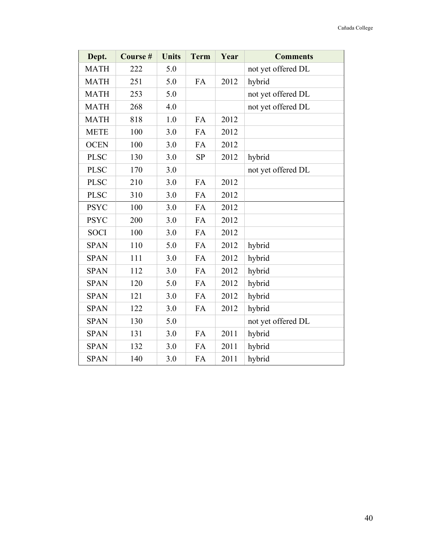| Dept.       | Course # | <b>Units</b> | <b>Term</b> | Year | <b>Comments</b>    |
|-------------|----------|--------------|-------------|------|--------------------|
| <b>MATH</b> | 222      | 5.0          |             |      | not yet offered DL |
| <b>MATH</b> | 251      | 5.0          | FA          | 2012 | hybrid             |
| <b>MATH</b> | 253      | 5.0          |             |      | not yet offered DL |
| <b>MATH</b> | 268      | 4.0          |             |      | not yet offered DL |
| <b>MATH</b> | 818      | 1.0          | FA          | 2012 |                    |
| <b>METE</b> | 100      | 3.0          | FA          | 2012 |                    |
| <b>OCEN</b> | 100      | 3.0          | FA          | 2012 |                    |
| <b>PLSC</b> | 130      | 3.0          | <b>SP</b>   | 2012 | hybrid             |
| <b>PLSC</b> | 170      | 3.0          |             |      | not yet offered DL |
| <b>PLSC</b> | 210      | 3.0          | <b>FA</b>   | 2012 |                    |
| <b>PLSC</b> | 310      | 3.0          | <b>FA</b>   | 2012 |                    |
| <b>PSYC</b> | 100      | 3.0          | FA          | 2012 |                    |
| <b>PSYC</b> | 200      | 3.0          | FA          | 2012 |                    |
| <b>SOCI</b> | 100      | 3.0          | FA          | 2012 |                    |
| <b>SPAN</b> | 110      | 5.0          | FA          | 2012 | hybrid             |
| <b>SPAN</b> | 111      | 3.0          | FA          | 2012 | hybrid             |
| <b>SPAN</b> | 112      | 3.0          | FA          | 2012 | hybrid             |
| <b>SPAN</b> | 120      | 5.0          | FA          | 2012 | hybrid             |
| <b>SPAN</b> | 121      | 3.0          | FA          | 2012 | hybrid             |
| <b>SPAN</b> | 122      | 3.0          | FA          | 2012 | hybrid             |
| <b>SPAN</b> | 130      | 5.0          |             |      | not yet offered DL |
| <b>SPAN</b> | 131      | 3.0          | FA          | 2011 | hybrid             |
| <b>SPAN</b> | 132      | 3.0          | FA          | 2011 | hybrid             |
| <b>SPAN</b> | 140      | 3.0          | FA          | 2011 | hybrid             |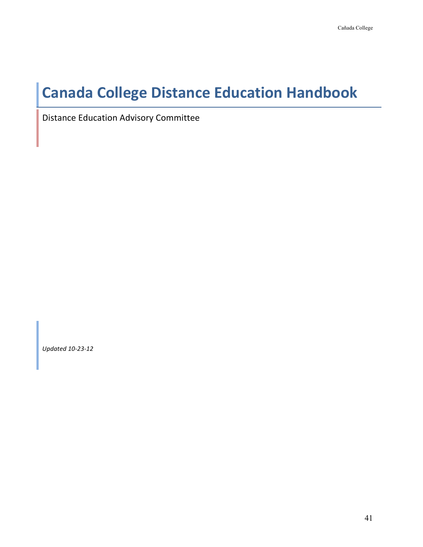# **Canada College Distance Education Handbook**

Distance Education Advisory Committee

*Updated 10-23-12*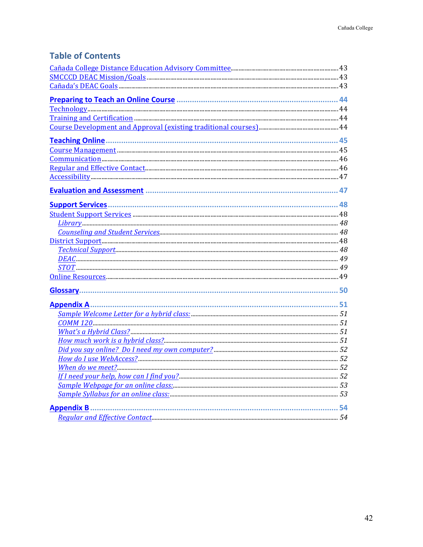| <b>Table of Contents</b> |  |
|--------------------------|--|
|--------------------------|--|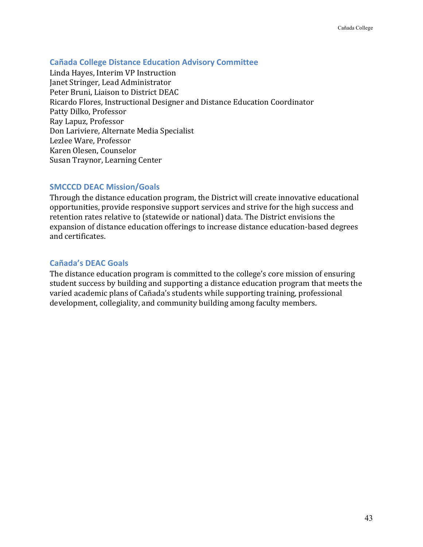# **Cañada College Distance Education Advisory Committee**

Linda Hayes, Interim VP Instruction Janet Stringer, Lead Administrator Peter Bruni, Liaison to District DEAC Ricardo Flores, Instructional Designer and Distance Education Coordinator Patty Dilko, Professor Ray Lapuz, Professor Don Lariviere, Alternate Media Specialist Lezlee Ware, Professor Karen Olesen, Counselor Susan Traynor, Learning Center

# **SMCCCD DEAC Mission/Goals**

Through the distance education program, the District will create innovative educational opportunities, provide responsive support services and strive for the high success and retention rates relative to (statewide or national) data. The District envisions the expansion of distance education offerings to increase distance education-based degrees and certificates.

# **Cañada's DEAC Goals**

The distance education program is committed to the college's core mission of ensuring student success by building and supporting a distance education program that meets the varied academic plans of Cañada's students while supporting training, professional development, collegiality, and community building among faculty members.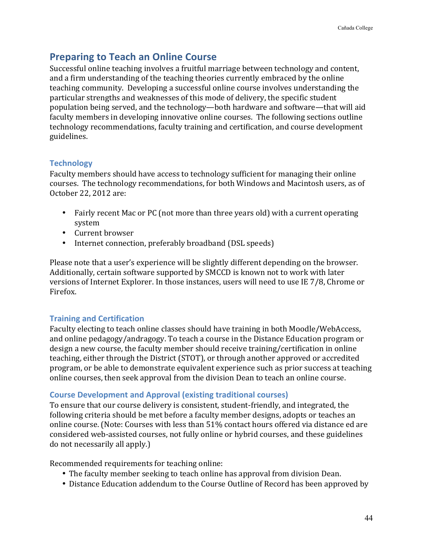# **Preparing to Teach an Online Course**

Successful online teaching involves a fruitful marriage between technology and content, and a firm understanding of the teaching theories currently embraced by the online teaching community. Developing a successful online course involves understanding the particular strengths and weaknesses of this mode of delivery, the specific student population being served, and the technology—both hardware and software—that will aid faculty members in developing innovative online courses. The following sections outline technology recommendations, faculty training and certification, and course development guidelines.

# **Technology**

Faculty members should have access to technology sufficient for managing their online courses. The technology recommendations, for both Windows and Macintosh users, as of October 22, 2012 are:

- Fairly recent Mac or PC (not more than three years old) with a current operating system
- Current browser
- Internet connection, preferably broadband (DSL speeds)

Please note that a user's experience will be slightly different depending on the browser. Additionally, certain software supported by SMCCD is known not to work with later versions of Internet Explorer. In those instances, users will need to use IE 7/8, Chrome or Firefox.

# **Training and Certification**

Faculty electing to teach online classes should have training in both Moodle/WebAccess, and online pedagogy/andragogy. To teach a course in the Distance Education program or design a new course, the faculty member should receive training/certification in online teaching, either through the District (STOT), or through another approved or accredited program, or be able to demonstrate equivalent experience such as prior success at teaching online courses, then seek approval from the division Dean to teach an online course.

# **Course Development and Approval (existing traditional courses)**

To ensure that our course delivery is consistent, student-friendly, and integrated, the following criteria should be met before a faculty member designs, adopts or teaches an online course. (Note: Courses with less than 51% contact hours offered via distance ed are considered web-assisted courses, not fully online or hybrid courses, and these guidelines do not necessarily all apply.)

Recommended requirements for teaching online:

- The faculty member seeking to teach online has approval from division Dean.
- Distance Education addendum to the Course Outline of Record has been approved by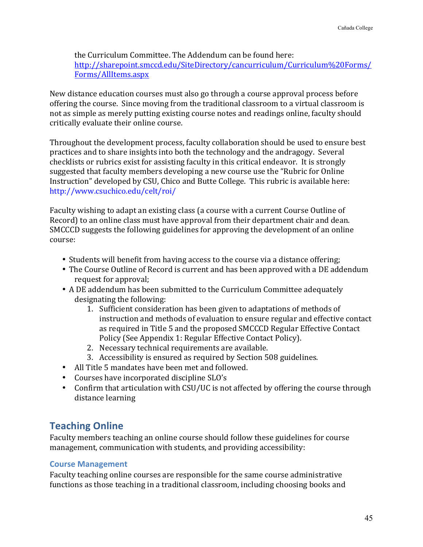the Curriculum Committee. The Addendum can be found here: http://sharepoint.smccd.edu/SiteDirectory/cancurriculum/Curriculum%20Forms/ Forms/AllItems.aspx

New distance education courses must also go through a course approval process before offering the course. Since moving from the traditional classroom to a virtual classroom is not as simple as merely putting existing course notes and readings online, faculty should critically evaluate their online course.

Throughout the development process, faculty collaboration should be used to ensure best practices and to share insights into both the technology and the andragogy. Several checklists or rubrics exist for assisting faculty in this critical endeavor. It is strongly suggested that faculty members developing a new course use the "Rubric for Online" Instruction" developed by CSU, Chico and Butte College. This rubric is available here: http://www.csuchico.edu/celt/roi/

Faculty wishing to adapt an existing class (a course with a current Course Outline of Record) to an online class must have approval from their department chair and dean. SMCCCD suggests the following guidelines for approving the development of an online course:

- Students will benefit from having access to the course via a distance offering;
- The Course Outline of Record is current and has been approved with a DE addendum request for approval;
- A DE addendum has been submitted to the Curriculum Committee adequately designating the following:
	- 1. Sufficient consideration has been given to adaptations of methods of instruction and methods of evaluation to ensure regular and effective contact as required in Title 5 and the proposed SMCCCD Regular Effective Contact Policy (See Appendix 1: Regular Effective Contact Policy).
	- 2. Necessary technical requirements are available.
	- 3. Accessibility is ensured as required by Section 508 guidelines.
- All Title 5 mandates have been met and followed.
- Courses have incorporated discipline SLO's
- Confirm that articulation with CSU/UC is not affected by offering the course through distance learning

# **Teaching Online**

Faculty members teaching an online course should follow these guidelines for course management, communication with students, and providing accessibility:

# **Course Management**

Faculty teaching online courses are responsible for the same course administrative functions as those teaching in a traditional classroom, including choosing books and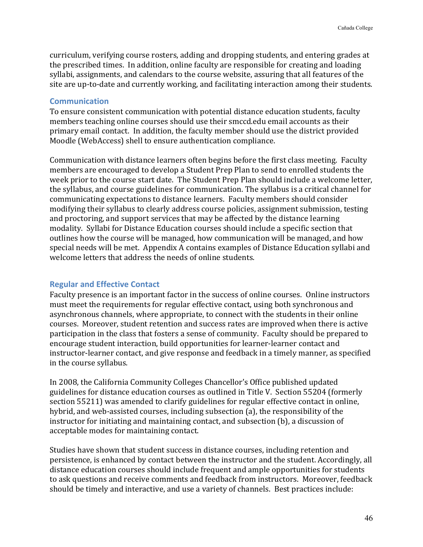curriculum, verifying course rosters, adding and dropping students, and entering grades at the prescribed times. In addition, online faculty are responsible for creating and loading syllabi, assignments, and calendars to the course website, assuring that all features of the site are up-to-date and currently working, and facilitating interaction among their students.

#### **Communication**

To ensure consistent communication with potential distance education students, faculty members teaching online courses should use their smccd.edu email accounts as their primary email contact. In addition, the faculty member should use the district provided Moodle (WebAccess) shell to ensure authentication compliance.

Communication with distance learners often begins before the first class meeting. Faculty members are encouraged to develop a Student Prep Plan to send to enrolled students the week prior to the course start date. The Student Prep Plan should include a welcome letter, the syllabus, and course guidelines for communication. The syllabus is a critical channel for communicating expectations to distance learners. Faculty members should consider modifying their syllabus to clearly address course policies, assignment submission, testing and proctoring, and support services that may be affected by the distance learning modality. Syllabi for Distance Education courses should include a specific section that outlines how the course will be managed, how communication will be managed, and how special needs will be met. Appendix A contains examples of Distance Education syllabi and welcome letters that address the needs of online students.

# **Regular and Effective Contact**

Faculty presence is an important factor in the success of online courses. Online instructors must meet the requirements for regular effective contact, using both synchronous and asynchronous channels, where appropriate, to connect with the students in their online courses. Moreover, student retention and success rates are improved when there is active participation in the class that fosters a sense of community. Faculty should be prepared to encourage student interaction, build opportunities for learner-learner contact and instructor-learner contact, and give response and feedback in a timely manner, as specified in the course syllabus.

In 2008, the California Community Colleges Chancellor's Office published updated guidelines for distance education courses as outlined in Title V. Section 55204 (formerly section 55211) was amended to clarify guidelines for regular effective contact in online, hybrid, and web-assisted courses, including subsection (a), the responsibility of the instructor for initiating and maintaining contact, and subsection  $(b)$ , a discussion of acceptable modes for maintaining contact.

Studies have shown that student success in distance courses, including retention and persistence, is enhanced by contact between the instructor and the student. Accordingly, all distance education courses should include frequent and ample opportunities for students to ask questions and receive comments and feedback from instructors. Moreover, feedback should be timely and interactive, and use a variety of channels. Best practices include: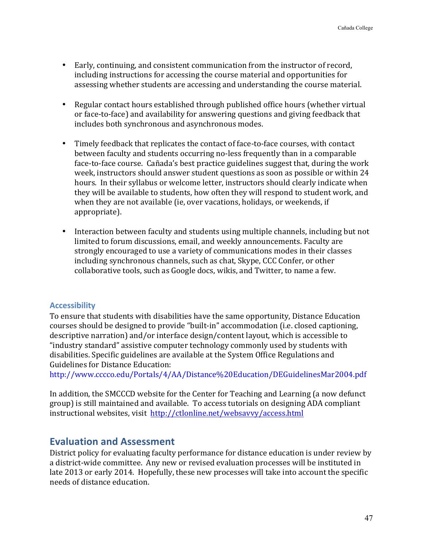- Early, continuing, and consistent communication from the instructor of record, including instructions for accessing the course material and opportunities for assessing whether students are accessing and understanding the course material.
- Regular contact hours established through published office hours (whether virtual or face-to-face) and availability for answering questions and giving feedback that includes both synchronous and asynchronous modes.
- Timely feedback that replicates the contact of face-to-face courses, with contact between faculty and students occurring no-less frequently than in a comparable face-to-face course. Cañada's best practice guidelines suggest that, during the work week, instructors should answer student questions as soon as possible or within 24 hours. In their syllabus or welcome letter, instructors should clearly indicate when they will be available to students, how often they will respond to student work, and when they are not available (ie, over vacations, holidays, or weekends, if appropriate).
- Interaction between faculty and students using multiple channels, including but not limited to forum discussions, email, and weekly announcements. Faculty are strongly encouraged to use a variety of communications modes in their classes including synchronous channels, such as chat, Skype, CCC Confer, or other collaborative tools, such as Google docs, wikis, and Twitter, to name a few.

# **Accessibility**

To ensure that students with disabilities have the same opportunity, Distance Education courses should be designed to provide "built-in" accommodation (i.e. closed captioning, descriptive narration) and/or interface design/content layout, which is accessible to "industry standard" assistive computer technology commonly used by students with disabilities. Specific guidelines are available at the System Office Regulations and Guidelines for Distance Education:

http://www.cccco.edu/Portals/4/AA/Distance%20Education/DEGuidelinesMar2004.pdf

In addition, the SMCCCD website for the Center for Teaching and Learning (a now defunct group) is still maintained and available. To access tutorials on designing ADA compliant instructional websites, visit http://ctlonline.net/websavvy/access.html

# **Evaluation and Assessment**

District policy for evaluating faculty performance for distance education is under review by a district-wide committee. Any new or revised evaluation processes will be instituted in late 2013 or early 2014. Hopefully, these new processes will take into account the specific needs of distance education.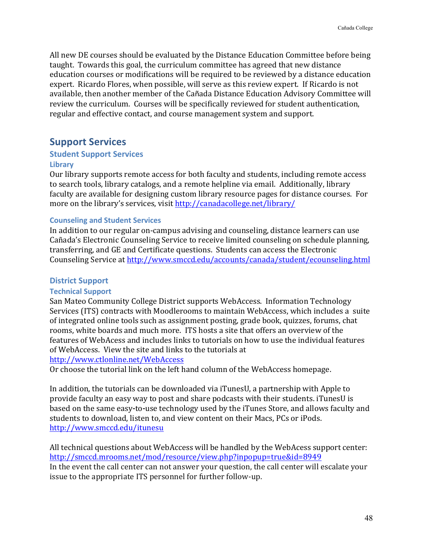All new DE courses should be evaluated by the Distance Education Committee before being taught. Towards this goal, the curriculum committee has agreed that new distance education courses or modifications will be required to be reviewed by a distance education expert. Ricardo Flores, when possible, will serve as this review expert. If Ricardo is not available, then another member of the Cañada Distance Education Advisory Committee will review the curriculum. Courses will be specifically reviewed for student authentication, regular and effective contact, and course management system and support.

# **Support Services**

# **Student Support Services**

# **Library**

Our library supports remote access for both faculty and students, including remote access to search tools, library catalogs, and a remote helpline via email. Additionally, library faculty are available for designing custom library resource pages for distance courses. For more on the library's services, visit http://canadacollege.net/library/

# **Counseling and Student Services**

In addition to our regular on-campus advising and counseling, distance learners can use Cañada's Electronic Counseling Service to receive limited counseling on schedule planning, transferring, and GE and Certificate questions. Students can access the Electronic Counseling Service at http://www.smccd.edu/accounts/canada/student/ecounseling.html

# **District Support**

# **Technical Support**

San Mateo Community College District supports WebAccess. Information Technology Services (ITS) contracts with Moodlerooms to maintain WebAccess, which includes a suite of integrated online tools such as assignment posting, grade book, quizzes, forums, chat rooms, white boards and much more. ITS hosts a site that offers an overview of the features of WebAcess and includes links to tutorials on how to use the individual features of WebAccess. View the site and links to the tutorials at

http://www.ctlonline.net/WebAccess

Or choose the tutorial link on the left hand column of the WebAccess homepage.

In addition, the tutorials can be downloaded via iTunesU, a partnership with Apple to provide faculty an easy way to post and share podcasts with their students. iTunesU is based on the same easy-to-use technology used by the iTunes Store, and allows faculty and students to download, listen to, and view content on their Macs, PCs or iPods. http://www.smccd.edu/itunesu

All technical questions about WebAccess will be handled by the WebAcess support center: http://smccd.mrooms.net/mod/resource/view.php?inpopup=true&id=8949 In the event the call center can not answer your question, the call center will escalate your issue to the appropriate ITS personnel for further follow-up.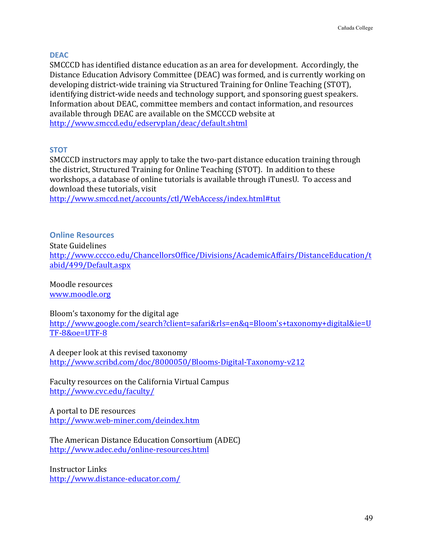# **DEAC**

SMCCCD has identified distance education as an area for development. Accordingly, the Distance Education Advisory Committee (DEAC) was formed, and is currently working on developing district-wide training via Structured Training for Online Teaching (STOT), identifying district-wide needs and technology support, and sponsoring guest speakers. Information about DEAC, committee members and contact information, and resources available through DEAC are available on the SMCCCD website at http://www.smccd.edu/edservplan/deac/default.shtml

# **STOT**

SMCCCD instructors may apply to take the two-part distance education training through the district, Structured Training for Online Teaching (STOT). In addition to these workshops, a database of online tutorials is available through iTunesU. To access and download these tutorials, visit

http://www.smccd.net/accounts/ctl/WebAccess/index.html#tut

# **Online Resources**

**State Guidelines** 

http://www.cccco.edu/ChancellorsOffice/Divisions/AcademicAffairs/DistanceEducation/t abid/499/Default.aspx

Moodle resources www.moodle.org

Bloom's taxonomy for the digital age

http://www.google.com/search?client=safari&rls=en&q=Bloom's+taxonomy+digital&ie=U TF-8&oe=UTF-8

A deeper look at this revised taxonomy http://www.scribd.com/doc/8000050/Blooms-Digital-Taxonomy-v212

Faculty resources on the California Virtual Campus http://www.cvc.edu/faculty/

A portal to DE resources http://www.web-miner.com/deindex.htm

The American Distance Education Consortium (ADEC) http://www.adec.edu/online-resources.html

Instructor Links http://www.distance-educator.com/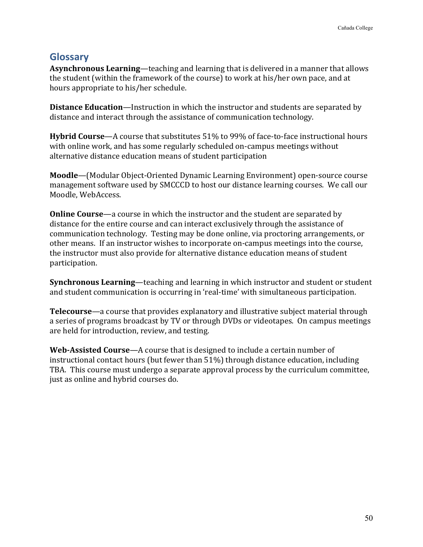# **Glossary**

**Asynchronous Learning**—teaching and learning that is delivered in a manner that allows the student (within the framework of the course) to work at his/her own pace, and at hours appropriate to his/her schedule.

**Distance Education**—Instruction in which the instructor and students are separated by distance and interact through the assistance of communication technology.

**Hybrid Course**—A course that substitutes 51% to 99% of face-to-face instructional hours with online work, and has some regularly scheduled on-campus meetings without alternative distance education means of student participation

**Moodle**—(Modular Object-Oriented Dynamic Learning Environment) open-source course management software used by SMCCCD to host our distance learning courses. We call our Moodle, WebAccess.

**Online Course**—a course in which the instructor and the student are separated by distance for the entire course and can interact exclusively through the assistance of communication technology. Testing may be done online, via proctoring arrangements, or other means. If an instructor wishes to incorporate on-campus meetings into the course, the instructor must also provide for alternative distance education means of student participation.

**Synchronous Learning—teaching and learning in which instructor and student or student** and student communication is occurring in 'real-time' with simultaneous participation.

**Telecourse**—a course that provides explanatory and illustrative subject material through a series of programs broadcast by TV or through DVDs or videotapes. On campus meetings are held for introduction, review, and testing.

**Web-Assisted Course**—A course that is designed to include a certain number of instructional contact hours (but fewer than  $51\%$ ) through distance education, including TBA. This course must undergo a separate approval process by the curriculum committee, just as online and hybrid courses do.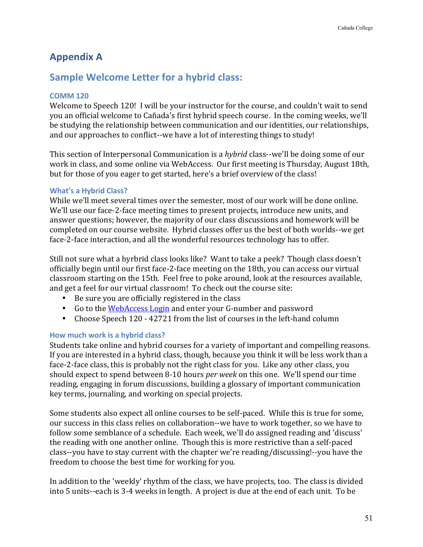# **Appendix A**

# **Sample Welcome Letter for a hybrid class:**

# **COMM 120**

Welcome to Speech 120! I will be your instructor for the course, and couldn't wait to send you an official welcome to Cañada's first hybrid speech course. In the coming weeks, we'll be studying the relationship between communication and our identities, our relationships, and our approaches to conflict--we have a lot of interesting things to study!

This section of Interpersonal Communication is a *hybrid* class--we'll be doing some of our work in class, and some online via WebAccess. Our first meeting is Thursday, August 18th, but for those of you eager to get started, here's a brief overview of the class!

# **What's a Hybrid Class?**

While we'll meet several times over the semester, most of our work will be done online. We'll use our face-2-face meeting times to present projects, introduce new units, and answer questions; however, the majority of our class discussions and homework will be completed on our course website. Hybrid classes offer us the best of both worlds--we get face-2-face interaction, and all the wonderful resources technology has to offer.

Still not sure what a hyrbrid class looks like? Want to take a peek? Though class doesn't officially begin until our first face-2-face meeting on the 18th, you can access our virtual classroom starting on the 15th. Feel free to poke around, look at the resources available, and get a feel for our virtual classroom! To check out the course site:

- Be sure you are officially registered in the class
- Go to the WebAccess Login and enter your G-number and password
- Choose Speech 120 42721 from the list of courses in the left-hand column

# How much work is a hybrid class?

Students take online and hybrid courses for a variety of important and compelling reasons. If you are interested in a hybrid class, though, because you think it will be less work than a face-2-face class, this is probably not the right class for you. Like any other class, you should expect to spend between 8-10 hours *per week* on this one. We'll spend our time reading, engaging in forum discussions, building a glossary of important communication key terms, journaling, and working on special projects.

Some students also expect all online courses to be self-paced. While this is true for some, our success in this class relies on collaboration--we have to work together, so we have to follow some semblance of a schedule. Each week, we'll do assigned reading and 'discuss' the reading with one another online. Though this is more restrictive than a self-paced class--you have to stay current with the chapter we're reading/discussing!--you have the freedom to choose the best time for working for you.

In addition to the 'weekly' rhythm of the class, we have projects, too. The class is divided into 5 units--each is 3-4 weeks in length. A project is due at the end of each unit. To be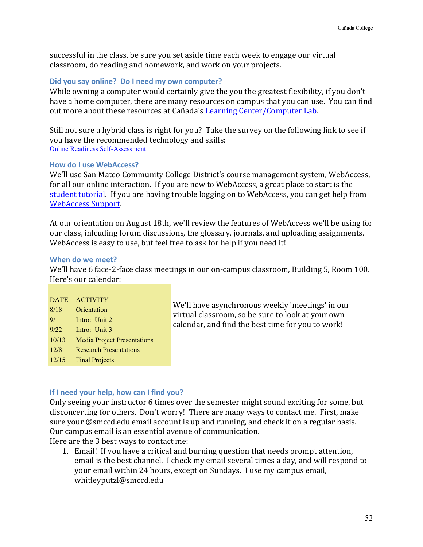successful in the class, be sure you set aside time each week to engage our virtual classroom, do reading and homework, and work on your projects.

#### **Did you say online? Do I need my own computer?**

While owning a computer would certainly give the you the greatest flexibility, if you don't have a home computer, there are many resources on campus that you can use. You can find out more about these resources at Cañada's Learning Center/Computer Lab.

Still not sure a hybrid class is right for you? Take the survey on the following link to see if you have the recommended technology and skills: Online Readiness Self-Assessment

# **How do I use WebAccess?**

We'll use San Mateo Community College District's course management system, WebAccess, for all our online interaction. If you are new to WebAccess, a great place to start is the student tutorial. If you are having trouble logging on to WebAccess, you can get help from WebAccess Support.

At our orientation on August 18th, we'll review the features of WebAccess we'll be using for our class, inlcuding forum discussions, the glossary, journals, and uploading assignments. WebAccess is easy to use, but feel free to ask for help if you need it!

#### **When do we meet?**

We'll have 6 face-2-face class meetings in our on-campus classroom, Building 5, Room 100. Here's our calendar:

| <b>DATE</b> | <b>ACTIVITY</b>                    |
|-------------|------------------------------------|
| 8/18        | Orientation                        |
| 9/1         | Intro: Unit 2                      |
| 9/22        | Intro: Unit 3                      |
| 10/13       | <b>Media Project Presentations</b> |
| 12/8        | <b>Research Presentations</b>      |
| 12/15       | <b>Final Projects</b>              |
|             |                                    |

We'll have asynchronous weekly 'meetings' in our virtual classroom, so be sure to look at your own calendar, and find the best time for you to work!

# **If I need your help, how can I find you?**

Only seeing your instructor 6 times over the semester might sound exciting for some, but disconcerting for others. Don't worry! There are many ways to contact me. First, make sure your  $@$ smccd.edu email account is up and running, and check it on a regular basis. Our campus email is an essential avenue of communication. Here are the 3 best ways to contact me:

1. Email! If you have a critical and burning question that needs prompt attention, email is the best channel. I check my email several times a day, and will respond to your email within 24 hours, except on Sundays. I use my campus email, whitleyputzl@smccd.edu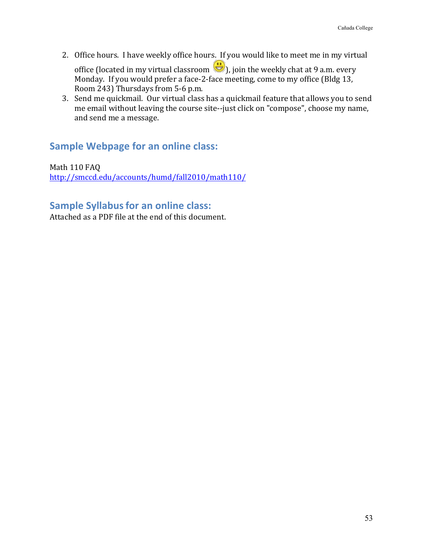2. Office hours. I have weekly office hours. If you would like to meet me in my virtual

office (located in my virtual classroom  $\bigcup_{n=0}^{\infty}$ ), join the weekly chat at 9 a.m. every Monday. If you would prefer a face-2-face meeting, come to my office (Bldg 13, Room 243) Thursdays from 5-6 p.m.

3. Send me quickmail. Our virtual class has a quickmail feature that allows you to send me email without leaving the course site--just click on "compose", choose my name, and send me a message.

# **Sample Webpage for an online class:**

Math 110 FAQ http://smccd.edu/accounts/humd/fall2010/math110/

# **Sample Syllabus for an online class:**

Attached as a PDF file at the end of this document.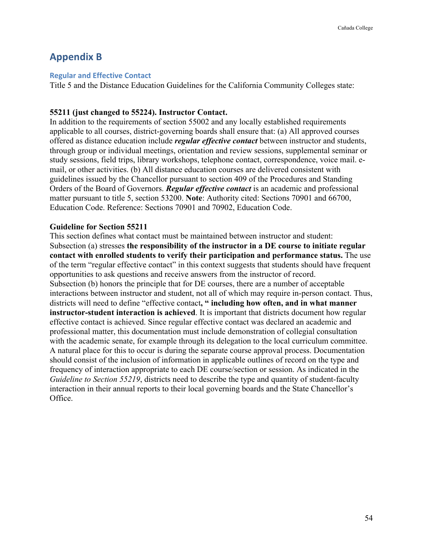# **Appendix B**

#### **Regular and Effective Contact**

Title 5 and the Distance Education Guidelines for the California Community Colleges state:

#### **55211 (just changed to 55224). Instructor Contact.**

In addition to the requirements of section 55002 and any locally established requirements applicable to all courses, district-governing boards shall ensure that: (a) All approved courses offered as distance education include *regular effective contact* between instructor and students, through group or individual meetings, orientation and review sessions, supplemental seminar or study sessions, field trips, library workshops, telephone contact, correspondence, voice mail. email, or other activities. (b) All distance education courses are delivered consistent with guidelines issued by the Chancellor pursuant to section 409 of the Procedures and Standing Orders of the Board of Governors. *Regular effective contact* is an academic and professional matter pursuant to title 5, section 53200. **Note**: Authority cited: Sections 70901 and 66700, Education Code. Reference: Sections 70901 and 70902, Education Code.

#### **Guideline for Section 55211**

This section defines what contact must be maintained between instructor and student: Subsection (a) stresses **the responsibility of the instructor in a DE course to initiate regular contact with enrolled students to verify their participation and performance status.** The use of the term "regular effective contact" in this context suggests that students should have frequent opportunities to ask questions and receive answers from the instructor of record. Subsection (b) honors the principle that for DE courses, there are a number of acceptable interactions between instructor and student, not all of which may require in-person contact. Thus, districts will need to define "effective contact**, " including how often, and in what manner instructor-student interaction is achieved**. It is important that districts document how regular effective contact is achieved. Since regular effective contact was declared an academic and professional matter, this documentation must include demonstration of collegial consultation with the academic senate, for example through its delegation to the local curriculum committee. A natural place for this to occur is during the separate course approval process. Documentation should consist of the inclusion of information in applicable outlines of record on the type and frequency of interaction appropriate to each DE course/section or session. As indicated in the *Guideline to Section 55219*, districts need to describe the type and quantity of student-faculty interaction in their annual reports to their local governing boards and the State Chancellor's Office.